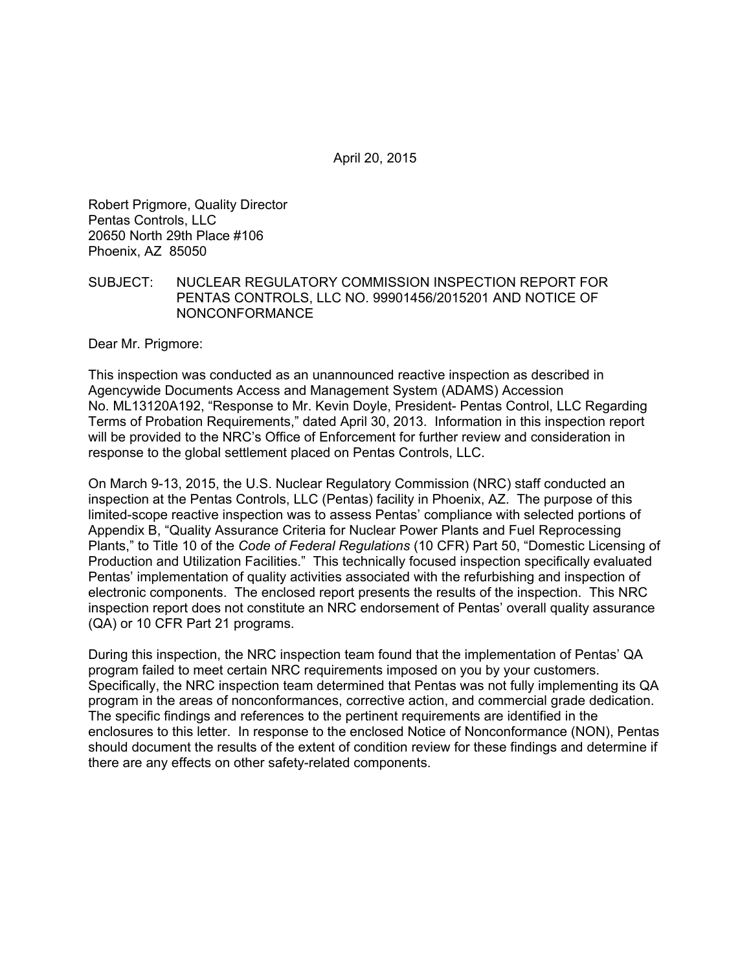April 20, 2015

Robert Prigmore, Quality Director Pentas Controls, LLC 20650 North 29th Place #106 Phoenix, AZ 85050

#### SUBJECT: NUCLEAR REGULATORY COMMISSION INSPECTION REPORT FOR PENTAS CONTROLS, LLC NO. 99901456/2015201 AND NOTICE OF NONCONFORMANCE

Dear Mr. Prigmore:

This inspection was conducted as an unannounced reactive inspection as described in Agencywide Documents Access and Management System (ADAMS) Accession No. ML13120A192, "Response to Mr. Kevin Doyle, President- Pentas Control, LLC Regarding Terms of Probation Requirements," dated April 30, 2013. Information in this inspection report will be provided to the NRC's Office of Enforcement for further review and consideration in response to the global settlement placed on Pentas Controls, LLC.

On March 9-13, 2015, the U.S. Nuclear Regulatory Commission (NRC) staff conducted an inspection at the Pentas Controls, LLC (Pentas) facility in Phoenix, AZ. The purpose of this limited-scope reactive inspection was to assess Pentas' compliance with selected portions of Appendix B, "Quality Assurance Criteria for Nuclear Power Plants and Fuel Reprocessing Plants," to Title 10 of the *Code of Federal Regulations* (10 CFR) Part 50, "Domestic Licensing of Production and Utilization Facilities." This technically focused inspection specifically evaluated Pentas' implementation of quality activities associated with the refurbishing and inspection of electronic components. The enclosed report presents the results of the inspection. This NRC inspection report does not constitute an NRC endorsement of Pentas' overall quality assurance (QA) or 10 CFR Part 21 programs.

During this inspection, the NRC inspection team found that the implementation of Pentas' QA program failed to meet certain NRC requirements imposed on you by your customers. Specifically, the NRC inspection team determined that Pentas was not fully implementing its QA program in the areas of nonconformances, corrective action, and commercial grade dedication. The specific findings and references to the pertinent requirements are identified in the enclosures to this letter. In response to the enclosed Notice of Nonconformance (NON), Pentas should document the results of the extent of condition review for these findings and determine if there are any effects on other safety-related components.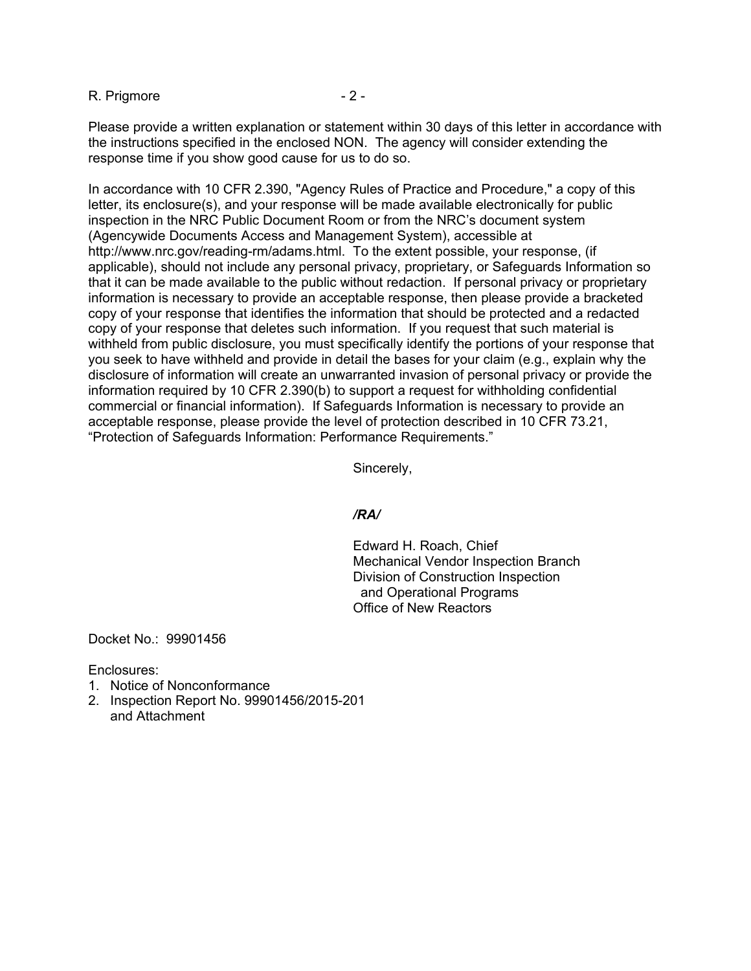R. Prigmore  $-2 -$ 

Please provide a written explanation or statement within 30 days of this letter in accordance with the instructions specified in the enclosed NON. The agency will consider extending the response time if you show good cause for us to do so.

In accordance with 10 CFR 2.390, "Agency Rules of Practice and Procedure," a copy of this letter, its enclosure(s), and your response will be made available electronically for public inspection in the NRC Public Document Room or from the NRC's document system (Agencywide Documents Access and Management System), accessible at http://www.nrc.gov/reading-rm/adams.html. To the extent possible, your response, (if applicable), should not include any personal privacy, proprietary, or Safeguards Information so that it can be made available to the public without redaction. If personal privacy or proprietary information is necessary to provide an acceptable response, then please provide a bracketed copy of your response that identifies the information that should be protected and a redacted copy of your response that deletes such information. If you request that such material is withheld from public disclosure, you must specifically identify the portions of your response that you seek to have withheld and provide in detail the bases for your claim (e.g., explain why the disclosure of information will create an unwarranted invasion of personal privacy or provide the information required by 10 CFR 2.390(b) to support a request for withholding confidential commercial or financial information). If Safeguards Information is necessary to provide an acceptable response, please provide the level of protection described in 10 CFR 73.21, "Protection of Safeguards Information: Performance Requirements."

Sincerely,

### */RA/*

Edward H. Roach, Chief Mechanical Vendor Inspection Branch Division of Construction Inspection and Operational Programs Office of New Reactors

Docket No.: 99901456

Enclosures:

- 1. Notice of Nonconformance
- 2. Inspection Report No. 99901456/2015-201 and Attachment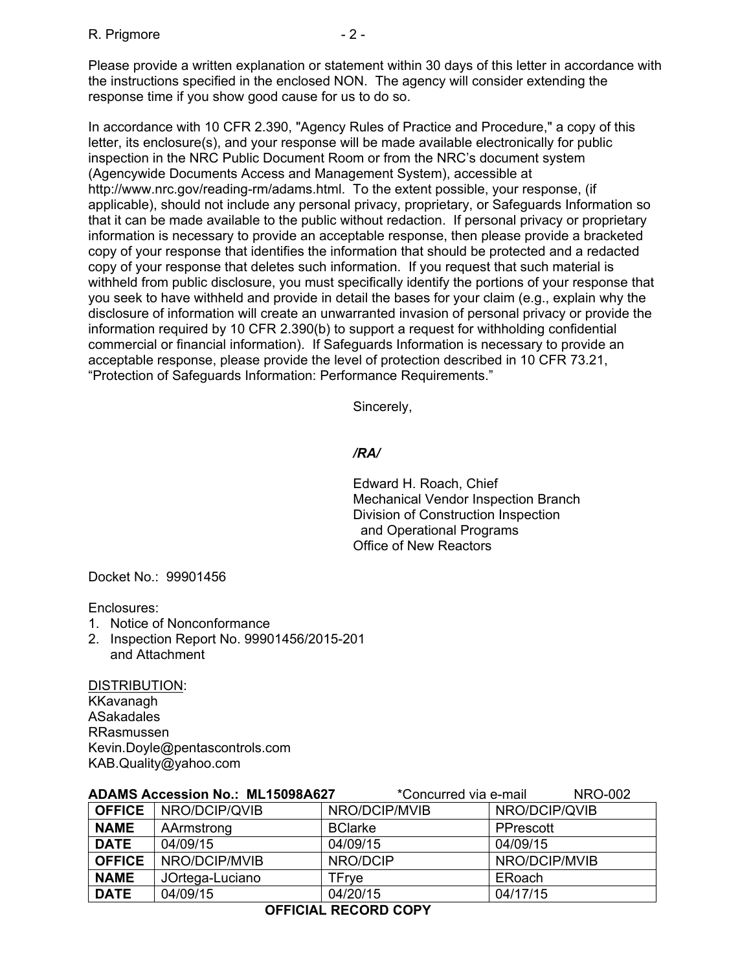#### R. Prigmore  $-2 -$

Please provide a written explanation or statement within 30 days of this letter in accordance with the instructions specified in the enclosed NON. The agency will consider extending the response time if you show good cause for us to do so.

In accordance with 10 CFR 2.390, "Agency Rules of Practice and Procedure," a copy of this letter, its enclosure(s), and your response will be made available electronically for public inspection in the NRC Public Document Room or from the NRC's document system (Agencywide Documents Access and Management System), accessible at http://www.nrc.gov/reading-rm/adams.html. To the extent possible, your response, (if applicable), should not include any personal privacy, proprietary, or Safeguards Information so that it can be made available to the public without redaction. If personal privacy or proprietary information is necessary to provide an acceptable response, then please provide a bracketed copy of your response that identifies the information that should be protected and a redacted copy of your response that deletes such information. If you request that such material is withheld from public disclosure, you must specifically identify the portions of your response that you seek to have withheld and provide in detail the bases for your claim (e.g., explain why the disclosure of information will create an unwarranted invasion of personal privacy or provide the information required by 10 CFR 2.390(b) to support a request for withholding confidential commercial or financial information). If Safeguards Information is necessary to provide an acceptable response, please provide the level of protection described in 10 CFR 73.21, "Protection of Safeguards Information: Performance Requirements."

Sincerely,

## */RA/*

Edward H. Roach, Chief Mechanical Vendor Inspection Branch Division of Construction Inspection and Operational Programs Office of New Reactors

Docket No.: 99901456

Enclosures:

- 1. Notice of Nonconformance
- 2. Inspection Report No. 99901456/2015-201 and Attachment

DISTRIBUTION: KKavanagh ASakadales RRasmussen Kevin.Doyle@pentascontrols.com KAB.Quality@yahoo.com

|               | <b>ADAMS Accession No.: ML15098A627</b> | *Concurred via e-mail | <b>NRO-002</b> |
|---------------|-----------------------------------------|-----------------------|----------------|
|               | <b>OFFICE</b>   NRO/DCIP/QVIB           | NRO/DCIP/MVIB         | NRO/DCIP/QVIB  |
| <b>NAME</b>   | AArmstrong                              | <b>BClarke</b>        | PPrescott      |
| <b>DATE</b>   | 04/09/15                                | 04/09/15              | 04/09/15       |
| <b>OFFICE</b> | NRO/DCIP/MVIB                           | NRO/DCIP              | NRO/DCIP/MVIB  |
| <b>NAME</b>   | JOrtega-Luciano                         | <b>TFrve</b>          | ERoach         |
| <b>DATE</b>   | 04/09/15                                | 04/20/15              | 04/17/15       |

## **OFFICIAL RECORD COPY**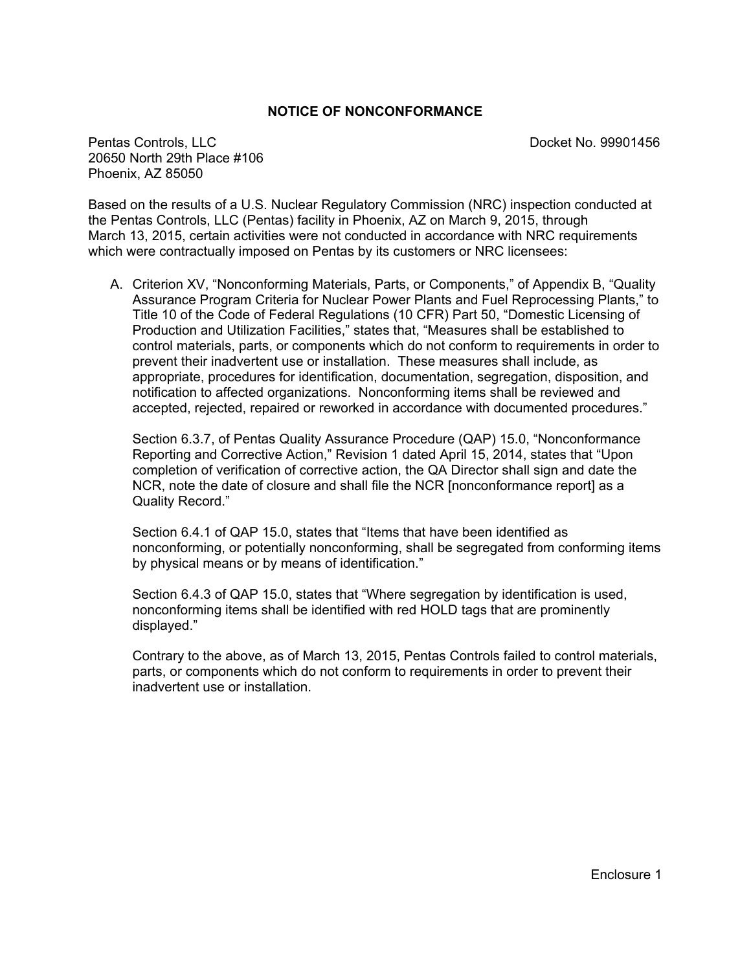#### **NOTICE OF NONCONFORMANCE**

Pentas Controls, LLC **Pentas Controls, LLC** 20650 North 29th Place #106 Phoenix, AZ 85050

Based on the results of a U.S. Nuclear Regulatory Commission (NRC) inspection conducted at the Pentas Controls, LLC (Pentas) facility in Phoenix, AZ on March 9, 2015, through March 13, 2015, certain activities were not conducted in accordance with NRC requirements which were contractually imposed on Pentas by its customers or NRC licensees:

A. Criterion XV, "Nonconforming Materials, Parts, or Components," of Appendix B, "Quality Assurance Program Criteria for Nuclear Power Plants and Fuel Reprocessing Plants," to Title 10 of the Code of Federal Regulations (10 CFR) Part 50, "Domestic Licensing of Production and Utilization Facilities," states that, "Measures shall be established to control materials, parts, or components which do not conform to requirements in order to prevent their inadvertent use or installation. These measures shall include, as appropriate, procedures for identification, documentation, segregation, disposition, and notification to affected organizations. Nonconforming items shall be reviewed and accepted, rejected, repaired or reworked in accordance with documented procedures."

Section 6.3.7, of Pentas Quality Assurance Procedure (QAP) 15.0, "Nonconformance Reporting and Corrective Action," Revision 1 dated April 15, 2014, states that "Upon completion of verification of corrective action, the QA Director shall sign and date the NCR, note the date of closure and shall file the NCR [nonconformance report] as a Quality Record."

Section 6.4.1 of QAP 15.0, states that "Items that have been identified as nonconforming, or potentially nonconforming, shall be segregated from conforming items by physical means or by means of identification."

Section 6.4.3 of QAP 15.0, states that "Where segregation by identification is used, nonconforming items shall be identified with red HOLD tags that are prominently displayed."

Contrary to the above, as of March 13, 2015, Pentas Controls failed to control materials, parts, or components which do not conform to requirements in order to prevent their inadvertent use or installation.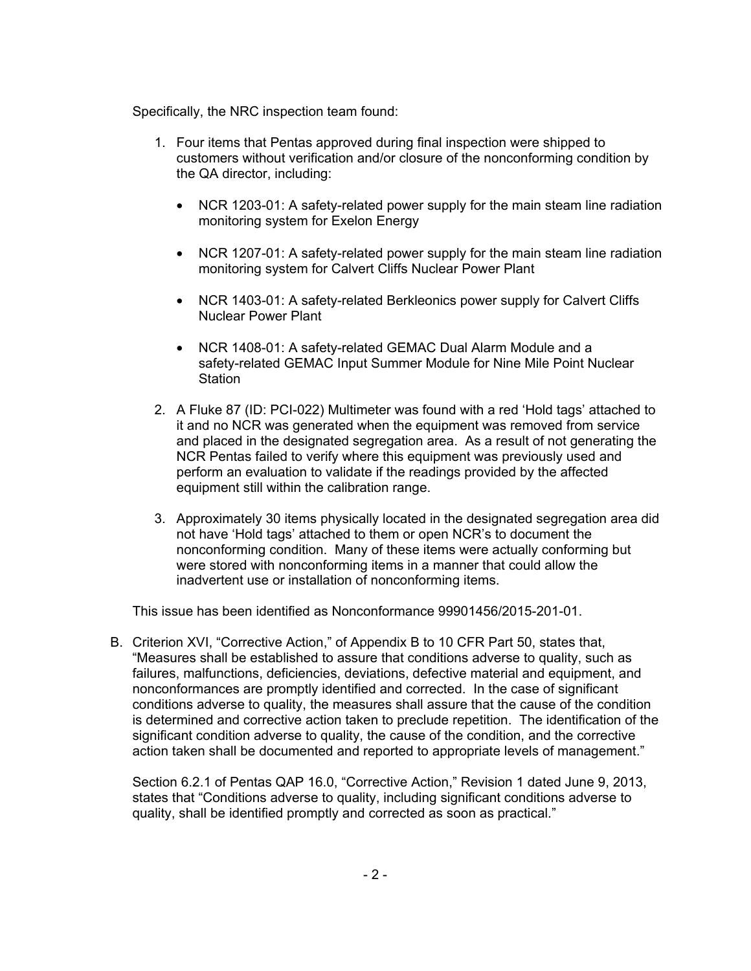Specifically, the NRC inspection team found:

- 1. Four items that Pentas approved during final inspection were shipped to customers without verification and/or closure of the nonconforming condition by the QA director, including:
	- NCR 1203-01: A safety-related power supply for the main steam line radiation monitoring system for Exelon Energy
	- NCR 1207-01: A safety-related power supply for the main steam line radiation monitoring system for Calvert Cliffs Nuclear Power Plant
	- NCR 1403-01: A safety-related Berkleonics power supply for Calvert Cliffs Nuclear Power Plant
	- NCR 1408-01: A safety-related GEMAC Dual Alarm Module and a safety-related GEMAC Input Summer Module for Nine Mile Point Nuclear **Station**
- 2. A Fluke 87 (ID: PCI-022) Multimeter was found with a red 'Hold tags' attached to it and no NCR was generated when the equipment was removed from service and placed in the designated segregation area. As a result of not generating the NCR Pentas failed to verify where this equipment was previously used and perform an evaluation to validate if the readings provided by the affected equipment still within the calibration range.
- 3. Approximately 30 items physically located in the designated segregation area did not have 'Hold tags' attached to them or open NCR's to document the nonconforming condition. Many of these items were actually conforming but were stored with nonconforming items in a manner that could allow the inadvertent use or installation of nonconforming items.

This issue has been identified as Nonconformance 99901456/2015-201-01.

B. Criterion XVI, "Corrective Action," of Appendix B to 10 CFR Part 50, states that, "Measures shall be established to assure that conditions adverse to quality, such as failures, malfunctions, deficiencies, deviations, defective material and equipment, and nonconformances are promptly identified and corrected. In the case of significant conditions adverse to quality, the measures shall assure that the cause of the condition is determined and corrective action taken to preclude repetition. The identification of the significant condition adverse to quality, the cause of the condition, and the corrective action taken shall be documented and reported to appropriate levels of management."

Section 6.2.1 of Pentas QAP 16.0, "Corrective Action," Revision 1 dated June 9, 2013, states that "Conditions adverse to quality, including significant conditions adverse to quality, shall be identified promptly and corrected as soon as practical."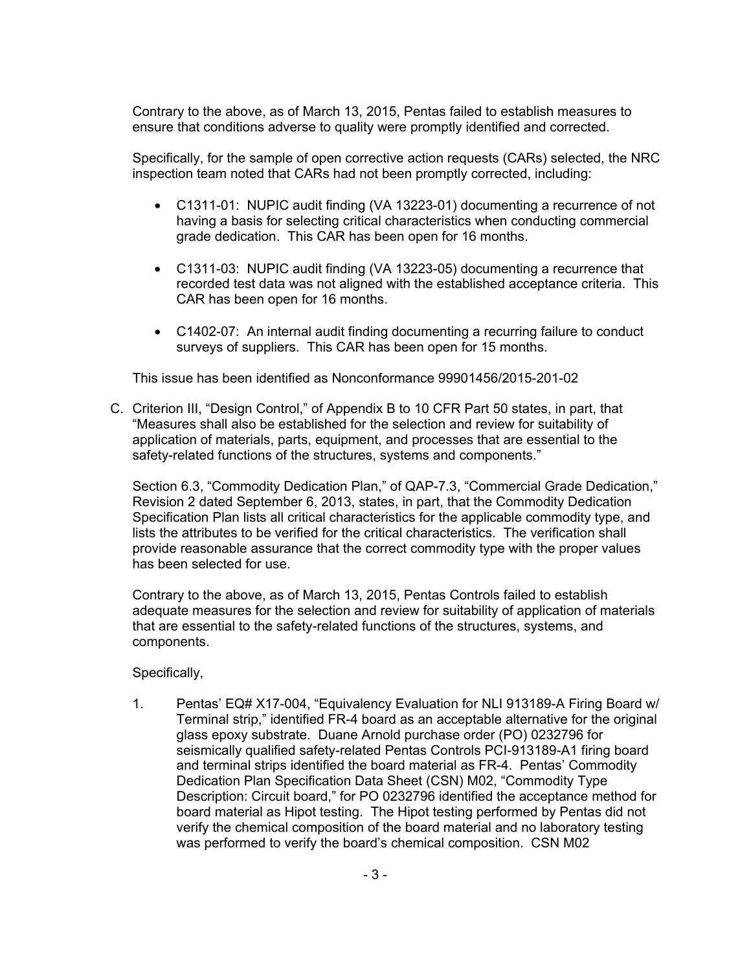Contrary to the above, as of March 13, 2015, Pentas failed to establish measures to ensure that conditions adverse to quality were promptly identified and corrected.

Specifically, for the sample of open corrective action requests (CARs) selected, the NRC inspection team noted that CARs had not been promptly corrected, including:

- C1311-01: NUPIC audit finding (VA 13223-01) documenting a recurrence of not having a basis for selecting critical characteristics when conducting commercial grade dedication. This CAR has been open for 16 months.
- C1311-03: NUPIC audit finding (VA 13223-05) documenting a recurrence that recorded test data was not aligned with the established acceptance criteria. This CAR has been open for 16 months.
- C1402-07: An internal audit finding documenting a recurring failure to conduct surveys of suppliers. This CAR has been open for 15 months.

This issue has been identified as Nonconformance 99901456/2015-201-02

C. Criterion III, "Design Control," of Appendix B to 10 CFR Part 50 states, in part, that "Measures shall also be established for the selection and review for suitability of application of materials, parts, equipment, and processes that are essential to the safety-related functions of the structures, systems and components."

Section 6.3, "Commodity Dedication Plan," of QAP-7.3, "Commercial Grade Dedication," Revision 2 dated September 6, 2013, states, in part, that the Commodity Dedication Specification Plan lists all critical characteristics for the applicable commodity type, and lists the attributes to be verified for the critical characteristics. The verification shall provide reasonable assurance that the correct commodity type with the proper values has been selected for use.

Contrary to the above, as of March 13, 2015, Pentas Controls failed to establish adequate measures for the selection and review for suitability of application of materials that are essential to the safety-related functions of the structures, systems, and components.

Specifically,

1. Pentas' EQ# X17-004, "Equivalency Evaluation for NLI 913189-A Firing Board w/ Terminal strip," identified FR-4 board as an acceptable alternative for the original glass epoxy substrate. Duane Arnold purchase order (PO) 0232796 for seismically qualified safety-related Pentas Controls PCI-913189-A1 firing board and terminal strips identified the board material as FR-4. Pentas' Commodity Dedication Plan Specification Data Sheet (CSN) M02, "Commodity Type Description: Circuit board," for PO 0232796 identified the acceptance method for board material as Hipot testing. The Hipot testing performed by Pentas did not verify the chemical composition of the board material and no laboratory testing was performed to verify the board's chemical composition. CSN M02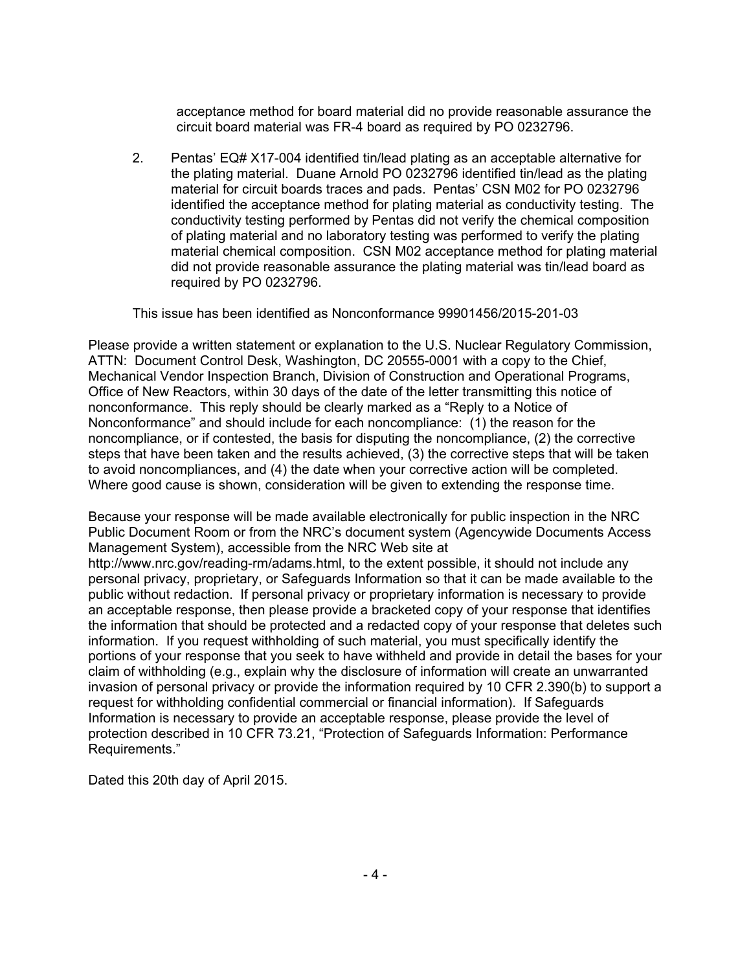acceptance method for board material did no provide reasonable assurance the circuit board material was FR-4 board as required by PO 0232796.

2. Pentas' EQ# X17-004 identified tin/lead plating as an acceptable alternative for the plating material. Duane Arnold PO 0232796 identified tin/lead as the plating material for circuit boards traces and pads. Pentas' CSN M02 for PO 0232796 identified the acceptance method for plating material as conductivity testing. The conductivity testing performed by Pentas did not verify the chemical composition of plating material and no laboratory testing was performed to verify the plating material chemical composition. CSN M02 acceptance method for plating material did not provide reasonable assurance the plating material was tin/lead board as required by PO 0232796.

This issue has been identified as Nonconformance 99901456/2015-201-03

Please provide a written statement or explanation to the U.S. Nuclear Regulatory Commission, ATTN: Document Control Desk, Washington, DC 20555-0001 with a copy to the Chief, Mechanical Vendor Inspection Branch, Division of Construction and Operational Programs, Office of New Reactors, within 30 days of the date of the letter transmitting this notice of nonconformance. This reply should be clearly marked as a "Reply to a Notice of Nonconformance" and should include for each noncompliance: (1) the reason for the noncompliance, or if contested, the basis for disputing the noncompliance, (2) the corrective steps that have been taken and the results achieved, (3) the corrective steps that will be taken to avoid noncompliances, and (4) the date when your corrective action will be completed. Where good cause is shown, consideration will be given to extending the response time.

Because your response will be made available electronically for public inspection in the NRC Public Document Room or from the NRC's document system (Agencywide Documents Access Management System), accessible from the NRC Web site at http://www.nrc.gov/reading-rm/adams.html, to the extent possible, it should not include any personal privacy, proprietary, or Safeguards Information so that it can be made available to the public without redaction. If personal privacy or proprietary information is necessary to provide an acceptable response, then please provide a bracketed copy of your response that identifies the information that should be protected and a redacted copy of your response that deletes such information. If you request withholding of such material, you must specifically identify the portions of your response that you seek to have withheld and provide in detail the bases for your claim of withholding (e.g., explain why the disclosure of information will create an unwarranted invasion of personal privacy or provide the information required by 10 CFR 2.390(b) to support a request for withholding confidential commercial or financial information). If Safeguards Information is necessary to provide an acceptable response, please provide the level of protection described in 10 CFR 73.21, "Protection of Safeguards Information: Performance Requirements."

Dated this 20th day of April 2015.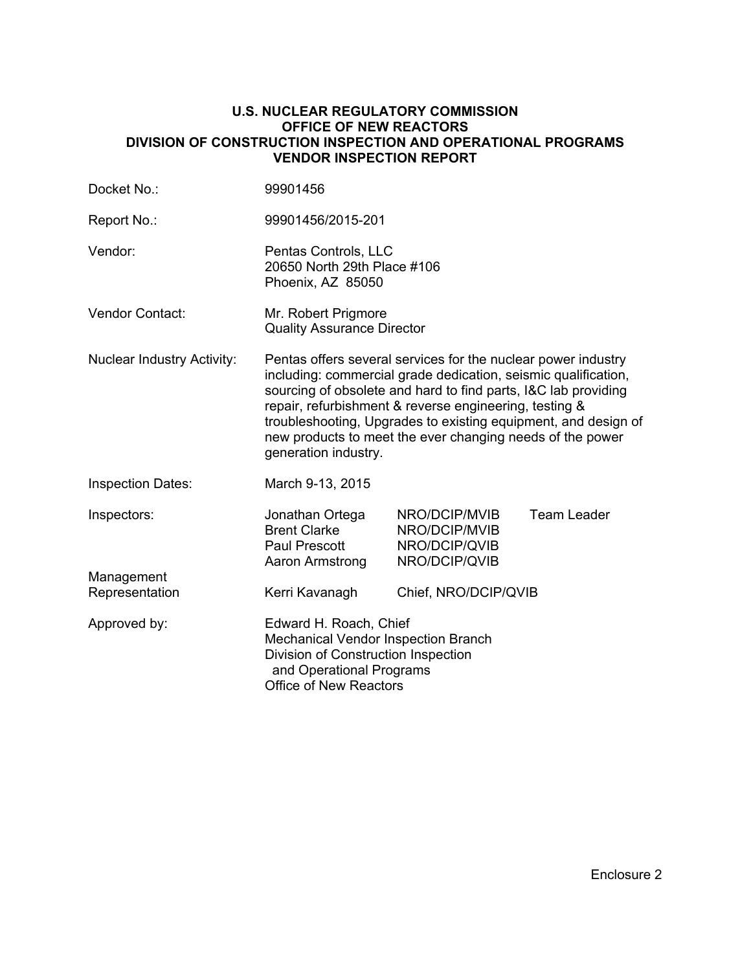#### **U.S. NUCLEAR REGULATORY COMMISSION OFFICE OF NEW REACTORS DIVISION OF CONSTRUCTION INSPECTION AND OPERATIONAL PROGRAMS VENDOR INSPECTION REPORT**

| Docket No.:                       | 99901456                                                                                                                                                                                                                                                                                                                                                                                                           |                                                                  |                    |  |
|-----------------------------------|--------------------------------------------------------------------------------------------------------------------------------------------------------------------------------------------------------------------------------------------------------------------------------------------------------------------------------------------------------------------------------------------------------------------|------------------------------------------------------------------|--------------------|--|
| Report No.:                       | 99901456/2015-201                                                                                                                                                                                                                                                                                                                                                                                                  |                                                                  |                    |  |
| Vendor:                           | Pentas Controls, LLC<br>20650 North 29th Place #106<br>Phoenix, AZ 85050                                                                                                                                                                                                                                                                                                                                           |                                                                  |                    |  |
| <b>Vendor Contact:</b>            | Mr. Robert Prigmore<br><b>Quality Assurance Director</b>                                                                                                                                                                                                                                                                                                                                                           |                                                                  |                    |  |
| <b>Nuclear Industry Activity:</b> | Pentas offers several services for the nuclear power industry<br>including: commercial grade dedication, seismic qualification,<br>sourcing of obsolete and hard to find parts, I&C lab providing<br>repair, refurbishment & reverse engineering, testing &<br>troubleshooting, Upgrades to existing equipment, and design of<br>new products to meet the ever changing needs of the power<br>generation industry. |                                                                  |                    |  |
| <b>Inspection Dates:</b>          | March 9-13, 2015                                                                                                                                                                                                                                                                                                                                                                                                   |                                                                  |                    |  |
| Inspectors:<br>Management         | Jonathan Ortega<br><b>Brent Clarke</b><br>Paul Prescott<br>Aaron Armstrong                                                                                                                                                                                                                                                                                                                                         | NRO/DCIP/MVIB<br>NRO/DCIP/MVIB<br>NRO/DCIP/QVIB<br>NRO/DCIP/QVIB | <b>Team Leader</b> |  |
| Representation                    | Kerri Kavanagh                                                                                                                                                                                                                                                                                                                                                                                                     | Chief, NRO/DCIP/QVIB                                             |                    |  |
| Approved by:                      | Edward H. Roach, Chief<br>Mechanical Vendor Inspection Branch<br>Division of Construction Inspection<br>and Operational Programs<br><b>Office of New Reactors</b>                                                                                                                                                                                                                                                  |                                                                  |                    |  |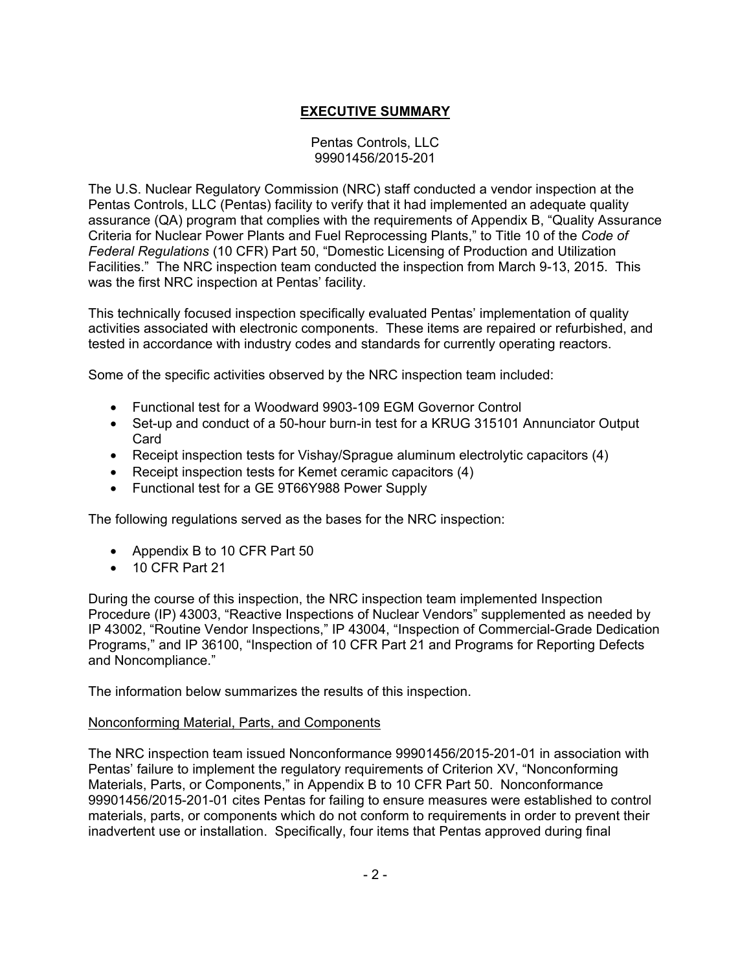# **EXECUTIVE SUMMARY**

#### Pentas Controls, LLC 99901456/2015-201

The U.S. Nuclear Regulatory Commission (NRC) staff conducted a vendor inspection at the Pentas Controls, LLC (Pentas) facility to verify that it had implemented an adequate quality assurance (QA) program that complies with the requirements of Appendix B, "Quality Assurance Criteria for Nuclear Power Plants and Fuel Reprocessing Plants," to Title 10 of the *Code of Federal Regulations* (10 CFR) Part 50, "Domestic Licensing of Production and Utilization Facilities." The NRC inspection team conducted the inspection from March 9-13, 2015. This was the first NRC inspection at Pentas' facility.

This technically focused inspection specifically evaluated Pentas' implementation of quality activities associated with electronic components. These items are repaired or refurbished, and tested in accordance with industry codes and standards for currently operating reactors.

Some of the specific activities observed by the NRC inspection team included:

- Functional test for a Woodward 9903-109 EGM Governor Control
- Set-up and conduct of a 50-hour burn-in test for a KRUG 315101 Annunciator Output Card
- Receipt inspection tests for Vishay/Sprague aluminum electrolytic capacitors (4)
- Receipt inspection tests for Kemet ceramic capacitors (4)
- Functional test for a GE 9T66Y988 Power Supply

The following regulations served as the bases for the NRC inspection:

- Appendix B to 10 CFR Part 50
- 10 CFR Part 21

During the course of this inspection, the NRC inspection team implemented Inspection Procedure (IP) 43003, "Reactive Inspections of Nuclear Vendors" supplemented as needed by IP 43002, "Routine Vendor Inspections," IP 43004, "Inspection of Commercial-Grade Dedication Programs," and IP 36100, "Inspection of 10 CFR Part 21 and Programs for Reporting Defects and Noncompliance."

The information below summarizes the results of this inspection.

### Nonconforming Material, Parts, and Components

The NRC inspection team issued Nonconformance 99901456/2015-201-01 in association with Pentas' failure to implement the regulatory requirements of Criterion XV, "Nonconforming Materials, Parts, or Components," in Appendix B to 10 CFR Part 50. Nonconformance 99901456/2015-201-01 cites Pentas for failing to ensure measures were established to control materials, parts, or components which do not conform to requirements in order to prevent their inadvertent use or installation. Specifically, four items that Pentas approved during final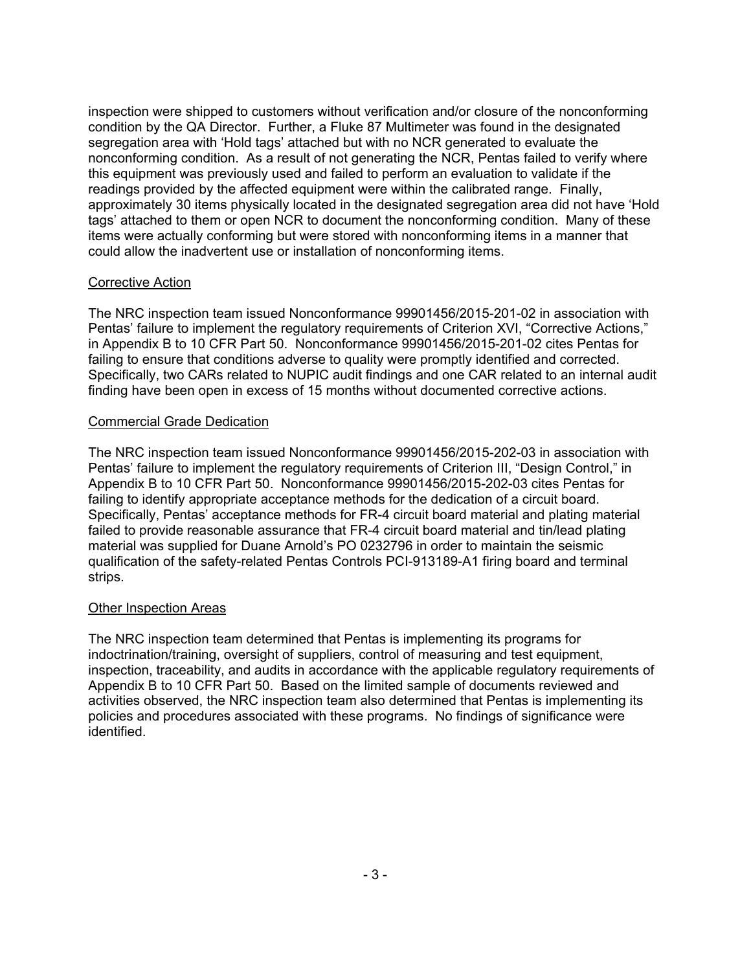inspection were shipped to customers without verification and/or closure of the nonconforming condition by the QA Director. Further, a Fluke 87 Multimeter was found in the designated segregation area with 'Hold tags' attached but with no NCR generated to evaluate the nonconforming condition. As a result of not generating the NCR, Pentas failed to verify where this equipment was previously used and failed to perform an evaluation to validate if the readings provided by the affected equipment were within the calibrated range. Finally, approximately 30 items physically located in the designated segregation area did not have 'Hold tags' attached to them or open NCR to document the nonconforming condition. Many of these items were actually conforming but were stored with nonconforming items in a manner that could allow the inadvertent use or installation of nonconforming items.

### Corrective Action

The NRC inspection team issued Nonconformance 99901456/2015-201-02 in association with Pentas' failure to implement the regulatory requirements of Criterion XVI, "Corrective Actions," in Appendix B to 10 CFR Part 50. Nonconformance 99901456/2015-201-02 cites Pentas for failing to ensure that conditions adverse to quality were promptly identified and corrected. Specifically, two CARs related to NUPIC audit findings and one CAR related to an internal audit finding have been open in excess of 15 months without documented corrective actions.

## Commercial Grade Dedication

The NRC inspection team issued Nonconformance 99901456/2015-202-03 in association with Pentas' failure to implement the regulatory requirements of Criterion III, "Design Control," in Appendix B to 10 CFR Part 50. Nonconformance 99901456/2015-202-03 cites Pentas for failing to identify appropriate acceptance methods for the dedication of a circuit board. Specifically, Pentas' acceptance methods for FR-4 circuit board material and plating material failed to provide reasonable assurance that FR-4 circuit board material and tin/lead plating material was supplied for Duane Arnold's PO 0232796 in order to maintain the seismic qualification of the safety-related Pentas Controls PCI-913189-A1 firing board and terminal strips.

### Other Inspection Areas

The NRC inspection team determined that Pentas is implementing its programs for indoctrination/training, oversight of suppliers, control of measuring and test equipment, inspection, traceability, and audits in accordance with the applicable regulatory requirements of Appendix B to 10 CFR Part 50. Based on the limited sample of documents reviewed and activities observed, the NRC inspection team also determined that Pentas is implementing its policies and procedures associated with these programs. No findings of significance were identified.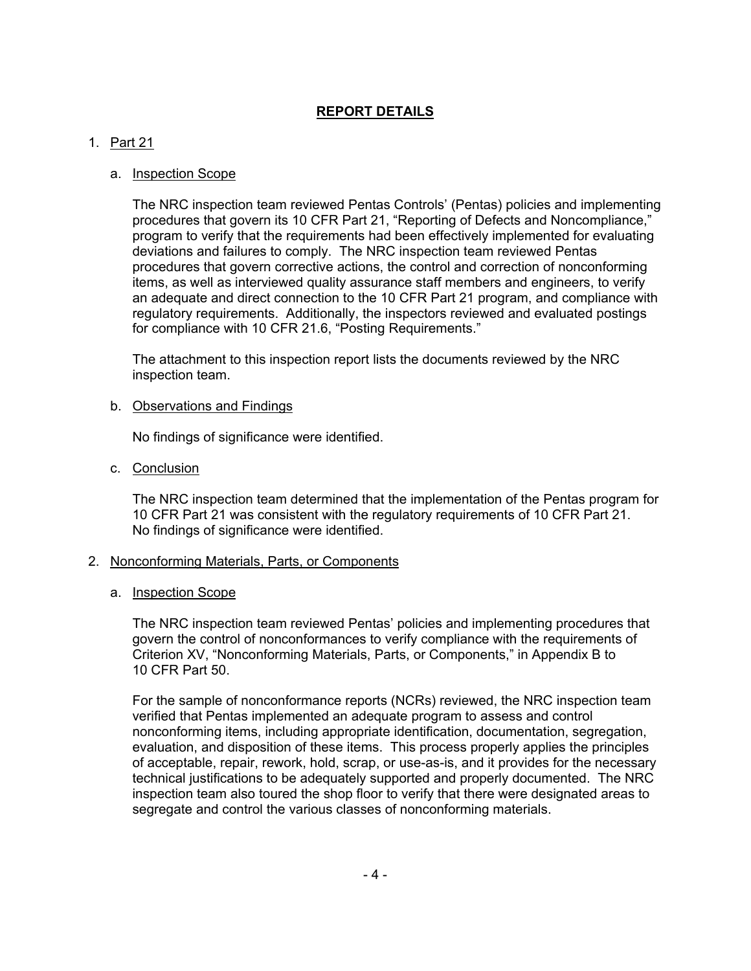## **REPORT DETAILS**

## 1. Part 21

## a. Inspection Scope

The NRC inspection team reviewed Pentas Controls' (Pentas) policies and implementing procedures that govern its 10 CFR Part 21, "Reporting of Defects and Noncompliance," program to verify that the requirements had been effectively implemented for evaluating deviations and failures to comply. The NRC inspection team reviewed Pentas procedures that govern corrective actions, the control and correction of nonconforming items, as well as interviewed quality assurance staff members and engineers, to verify an adequate and direct connection to the 10 CFR Part 21 program, and compliance with regulatory requirements. Additionally, the inspectors reviewed and evaluated postings for compliance with 10 CFR 21.6, "Posting Requirements."

The attachment to this inspection report lists the documents reviewed by the NRC inspection team.

#### b. Observations and Findings

No findings of significance were identified.

c. Conclusion

The NRC inspection team determined that the implementation of the Pentas program for 10 CFR Part 21 was consistent with the regulatory requirements of 10 CFR Part 21. No findings of significance were identified.

### 2. Nonconforming Materials, Parts, or Components

### a. Inspection Scope

The NRC inspection team reviewed Pentas' policies and implementing procedures that govern the control of nonconformances to verify compliance with the requirements of Criterion XV, "Nonconforming Materials, Parts, or Components," in Appendix B to 10 CFR Part 50.

For the sample of nonconformance reports (NCRs) reviewed, the NRC inspection team verified that Pentas implemented an adequate program to assess and control nonconforming items, including appropriate identification, documentation, segregation, evaluation, and disposition of these items. This process properly applies the principles of acceptable, repair, rework, hold, scrap, or use-as-is, and it provides for the necessary technical justifications to be adequately supported and properly documented. The NRC inspection team also toured the shop floor to verify that there were designated areas to segregate and control the various classes of nonconforming materials.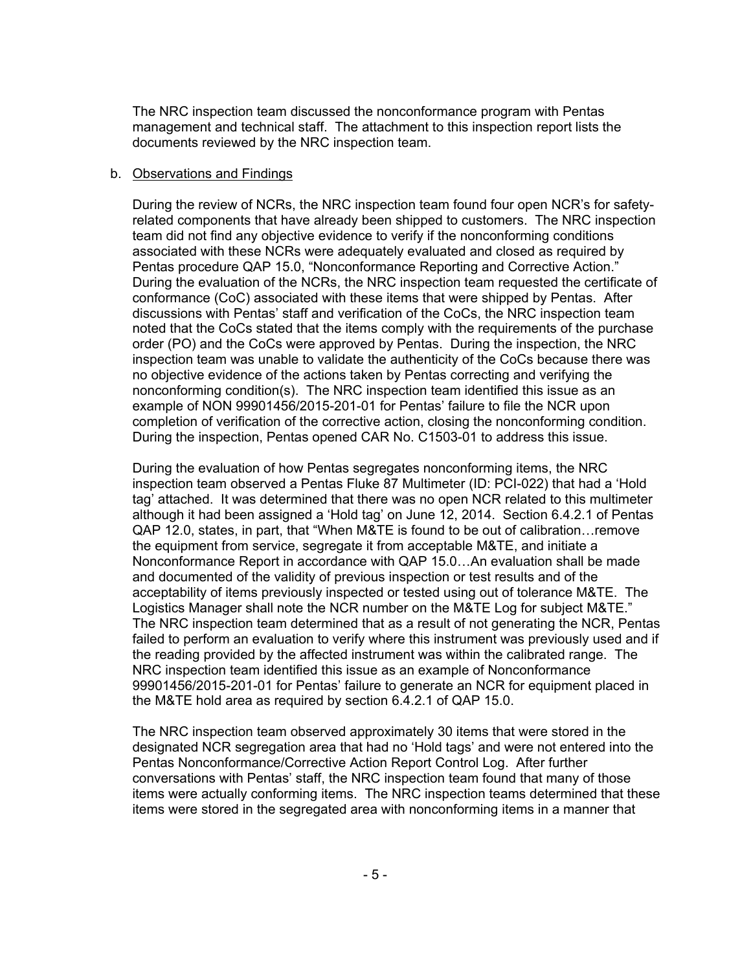The NRC inspection team discussed the nonconformance program with Pentas management and technical staff. The attachment to this inspection report lists the documents reviewed by the NRC inspection team.

#### b. Observations and Findings

During the review of NCRs, the NRC inspection team found four open NCR's for safetyrelated components that have already been shipped to customers. The NRC inspection team did not find any objective evidence to verify if the nonconforming conditions associated with these NCRs were adequately evaluated and closed as required by Pentas procedure QAP 15.0, "Nonconformance Reporting and Corrective Action." During the evaluation of the NCRs, the NRC inspection team requested the certificate of conformance (CoC) associated with these items that were shipped by Pentas. After discussions with Pentas' staff and verification of the CoCs, the NRC inspection team noted that the CoCs stated that the items comply with the requirements of the purchase order (PO) and the CoCs were approved by Pentas. During the inspection, the NRC inspection team was unable to validate the authenticity of the CoCs because there was no objective evidence of the actions taken by Pentas correcting and verifying the nonconforming condition(s). The NRC inspection team identified this issue as an example of NON 99901456/2015-201-01 for Pentas' failure to file the NCR upon completion of verification of the corrective action, closing the nonconforming condition. During the inspection, Pentas opened CAR No. C1503-01 to address this issue.

During the evaluation of how Pentas segregates nonconforming items, the NRC inspection team observed a Pentas Fluke 87 Multimeter (ID: PCI-022) that had a 'Hold tag' attached. It was determined that there was no open NCR related to this multimeter although it had been assigned a 'Hold tag' on June 12, 2014. Section 6.4.2.1 of Pentas QAP 12.0, states, in part, that "When M&TE is found to be out of calibration…remove the equipment from service, segregate it from acceptable M&TE, and initiate a Nonconformance Report in accordance with QAP 15.0…An evaluation shall be made and documented of the validity of previous inspection or test results and of the acceptability of items previously inspected or tested using out of tolerance M&TE. The Logistics Manager shall note the NCR number on the M&TE Log for subject M&TE." The NRC inspection team determined that as a result of not generating the NCR, Pentas failed to perform an evaluation to verify where this instrument was previously used and if the reading provided by the affected instrument was within the calibrated range. The NRC inspection team identified this issue as an example of Nonconformance 99901456/2015-201-01 for Pentas' failure to generate an NCR for equipment placed in the M&TE hold area as required by section 6.4.2.1 of QAP 15.0.

The NRC inspection team observed approximately 30 items that were stored in the designated NCR segregation area that had no 'Hold tags' and were not entered into the Pentas Nonconformance/Corrective Action Report Control Log. After further conversations with Pentas' staff, the NRC inspection team found that many of those items were actually conforming items. The NRC inspection teams determined that these items were stored in the segregated area with nonconforming items in a manner that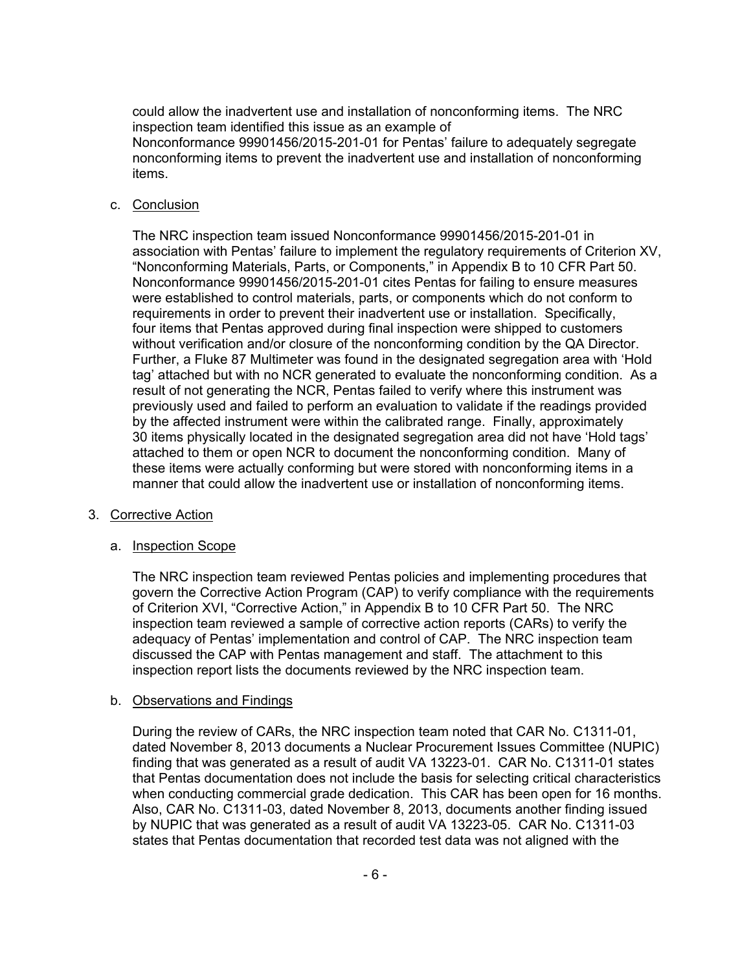could allow the inadvertent use and installation of nonconforming items. The NRC inspection team identified this issue as an example of

Nonconformance 99901456/2015-201-01 for Pentas' failure to adequately segregate nonconforming items to prevent the inadvertent use and installation of nonconforming items.

#### c. Conclusion

The NRC inspection team issued Nonconformance 99901456/2015-201-01 in association with Pentas' failure to implement the regulatory requirements of Criterion XV, "Nonconforming Materials, Parts, or Components," in Appendix B to 10 CFR Part 50. Nonconformance 99901456/2015-201-01 cites Pentas for failing to ensure measures were established to control materials, parts, or components which do not conform to requirements in order to prevent their inadvertent use or installation. Specifically, four items that Pentas approved during final inspection were shipped to customers without verification and/or closure of the nonconforming condition by the QA Director. Further, a Fluke 87 Multimeter was found in the designated segregation area with 'Hold tag' attached but with no NCR generated to evaluate the nonconforming condition. As a result of not generating the NCR, Pentas failed to verify where this instrument was previously used and failed to perform an evaluation to validate if the readings provided by the affected instrument were within the calibrated range. Finally, approximately 30 items physically located in the designated segregation area did not have 'Hold tags' attached to them or open NCR to document the nonconforming condition. Many of these items were actually conforming but were stored with nonconforming items in a manner that could allow the inadvertent use or installation of nonconforming items.

#### 3. Corrective Action

### a. **Inspection Scope**

The NRC inspection team reviewed Pentas policies and implementing procedures that govern the Corrective Action Program (CAP) to verify compliance with the requirements of Criterion XVI, "Corrective Action," in Appendix B to 10 CFR Part 50. The NRC inspection team reviewed a sample of corrective action reports (CARs) to verify the adequacy of Pentas' implementation and control of CAP. The NRC inspection team discussed the CAP with Pentas management and staff. The attachment to this inspection report lists the documents reviewed by the NRC inspection team.

#### b. Observations and Findings

During the review of CARs, the NRC inspection team noted that CAR No. C1311-01, dated November 8, 2013 documents a Nuclear Procurement Issues Committee (NUPIC) finding that was generated as a result of audit VA 13223-01. CAR No. C1311-01 states that Pentas documentation does not include the basis for selecting critical characteristics when conducting commercial grade dedication. This CAR has been open for 16 months. Also, CAR No. C1311-03, dated November 8, 2013, documents another finding issued by NUPIC that was generated as a result of audit VA 13223-05. CAR No. C1311-03 states that Pentas documentation that recorded test data was not aligned with the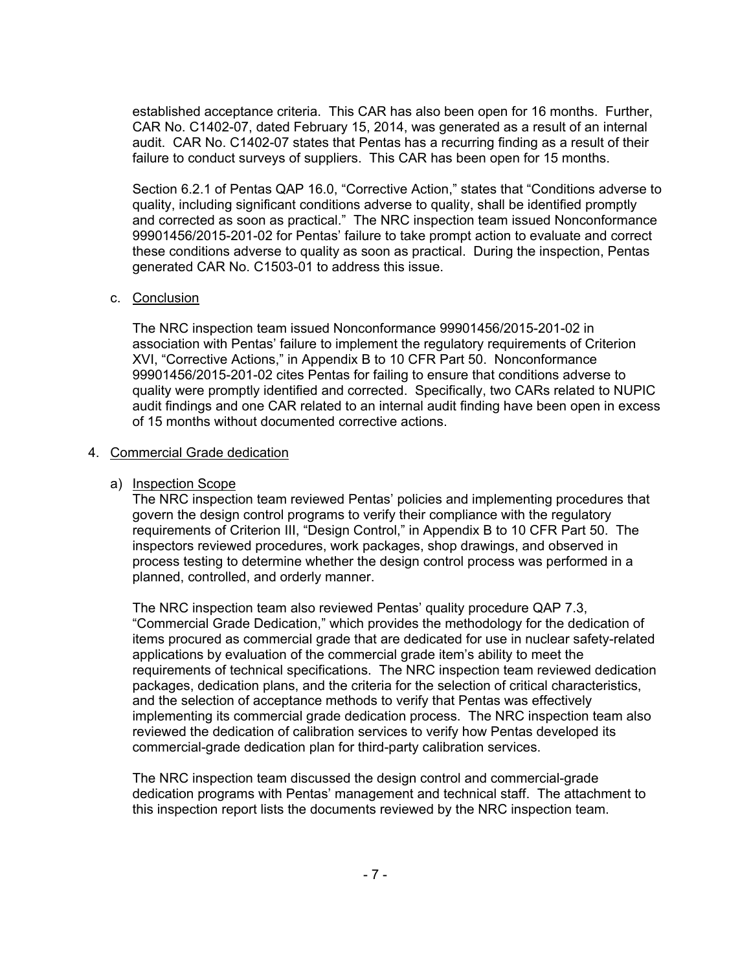established acceptance criteria. This CAR has also been open for 16 months. Further, CAR No. C1402-07, dated February 15, 2014, was generated as a result of an internal audit. CAR No. C1402-07 states that Pentas has a recurring finding as a result of their failure to conduct surveys of suppliers. This CAR has been open for 15 months.

Section 6.2.1 of Pentas QAP 16.0, "Corrective Action," states that "Conditions adverse to quality, including significant conditions adverse to quality, shall be identified promptly and corrected as soon as practical." The NRC inspection team issued Nonconformance 99901456/2015-201-02 for Pentas' failure to take prompt action to evaluate and correct these conditions adverse to quality as soon as practical. During the inspection, Pentas generated CAR No. C1503-01 to address this issue.

#### c. Conclusion

The NRC inspection team issued Nonconformance 99901456/2015-201-02 in association with Pentas' failure to implement the regulatory requirements of Criterion XVI, "Corrective Actions," in Appendix B to 10 CFR Part 50. Nonconformance 99901456/2015-201-02 cites Pentas for failing to ensure that conditions adverse to quality were promptly identified and corrected. Specifically, two CARs related to NUPIC audit findings and one CAR related to an internal audit finding have been open in excess of 15 months without documented corrective actions.

#### 4. Commercial Grade dedication

#### a) Inspection Scope

The NRC inspection team reviewed Pentas' policies and implementing procedures that govern the design control programs to verify their compliance with the regulatory requirements of Criterion III, "Design Control," in Appendix B to 10 CFR Part 50. The inspectors reviewed procedures, work packages, shop drawings, and observed in process testing to determine whether the design control process was performed in a planned, controlled, and orderly manner.

The NRC inspection team also reviewed Pentas' quality procedure QAP 7.3, "Commercial Grade Dedication," which provides the methodology for the dedication of items procured as commercial grade that are dedicated for use in nuclear safety-related applications by evaluation of the commercial grade item's ability to meet the requirements of technical specifications. The NRC inspection team reviewed dedication packages, dedication plans, and the criteria for the selection of critical characteristics, and the selection of acceptance methods to verify that Pentas was effectively implementing its commercial grade dedication process. The NRC inspection team also reviewed the dedication of calibration services to verify how Pentas developed its commercial-grade dedication plan for third-party calibration services.

The NRC inspection team discussed the design control and commercial-grade dedication programs with Pentas' management and technical staff. The attachment to this inspection report lists the documents reviewed by the NRC inspection team.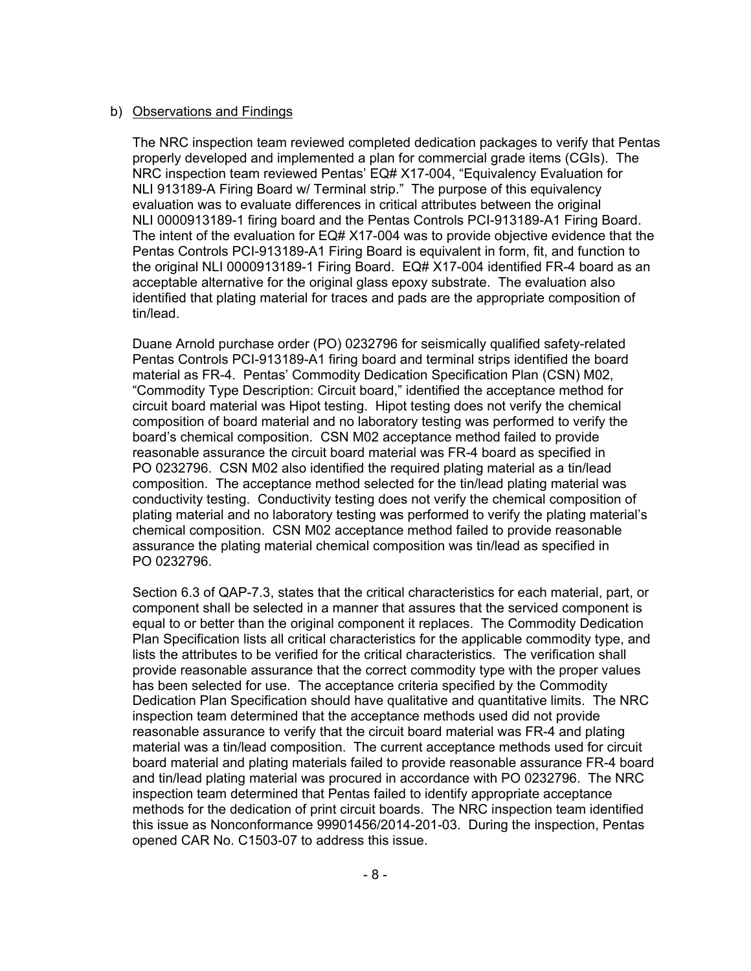#### b) Observations and Findings

The NRC inspection team reviewed completed dedication packages to verify that Pentas properly developed and implemented a plan for commercial grade items (CGIs). The NRC inspection team reviewed Pentas' EQ# X17-004, "Equivalency Evaluation for NLI 913189-A Firing Board w/ Terminal strip." The purpose of this equivalency evaluation was to evaluate differences in critical attributes between the original NLI 0000913189-1 firing board and the Pentas Controls PCI-913189-A1 Firing Board. The intent of the evaluation for EQ# X17-004 was to provide objective evidence that the Pentas Controls PCI-913189-A1 Firing Board is equivalent in form, fit, and function to the original NLI 0000913189-1 Firing Board. EQ# X17-004 identified FR-4 board as an acceptable alternative for the original glass epoxy substrate. The evaluation also identified that plating material for traces and pads are the appropriate composition of tin/lead.

Duane Arnold purchase order (PO) 0232796 for seismically qualified safety-related Pentas Controls PCI-913189-A1 firing board and terminal strips identified the board material as FR-4. Pentas' Commodity Dedication Specification Plan (CSN) M02, "Commodity Type Description: Circuit board," identified the acceptance method for circuit board material was Hipot testing. Hipot testing does not verify the chemical composition of board material and no laboratory testing was performed to verify the board's chemical composition. CSN M02 acceptance method failed to provide reasonable assurance the circuit board material was FR-4 board as specified in PO 0232796. CSN M02 also identified the required plating material as a tin/lead composition. The acceptance method selected for the tin/lead plating material was conductivity testing. Conductivity testing does not verify the chemical composition of plating material and no laboratory testing was performed to verify the plating material's chemical composition. CSN M02 acceptance method failed to provide reasonable assurance the plating material chemical composition was tin/lead as specified in PO 0232796.

Section 6.3 of QAP-7.3, states that the critical characteristics for each material, part, or component shall be selected in a manner that assures that the serviced component is equal to or better than the original component it replaces. The Commodity Dedication Plan Specification lists all critical characteristics for the applicable commodity type, and lists the attributes to be verified for the critical characteristics. The verification shall provide reasonable assurance that the correct commodity type with the proper values has been selected for use. The acceptance criteria specified by the Commodity Dedication Plan Specification should have qualitative and quantitative limits. The NRC inspection team determined that the acceptance methods used did not provide reasonable assurance to verify that the circuit board material was FR-4 and plating material was a tin/lead composition. The current acceptance methods used for circuit board material and plating materials failed to provide reasonable assurance FR-4 board and tin/lead plating material was procured in accordance with PO 0232796. The NRC inspection team determined that Pentas failed to identify appropriate acceptance methods for the dedication of print circuit boards. The NRC inspection team identified this issue as Nonconformance 99901456/2014-201-03. During the inspection, Pentas opened CAR No. C1503-07 to address this issue.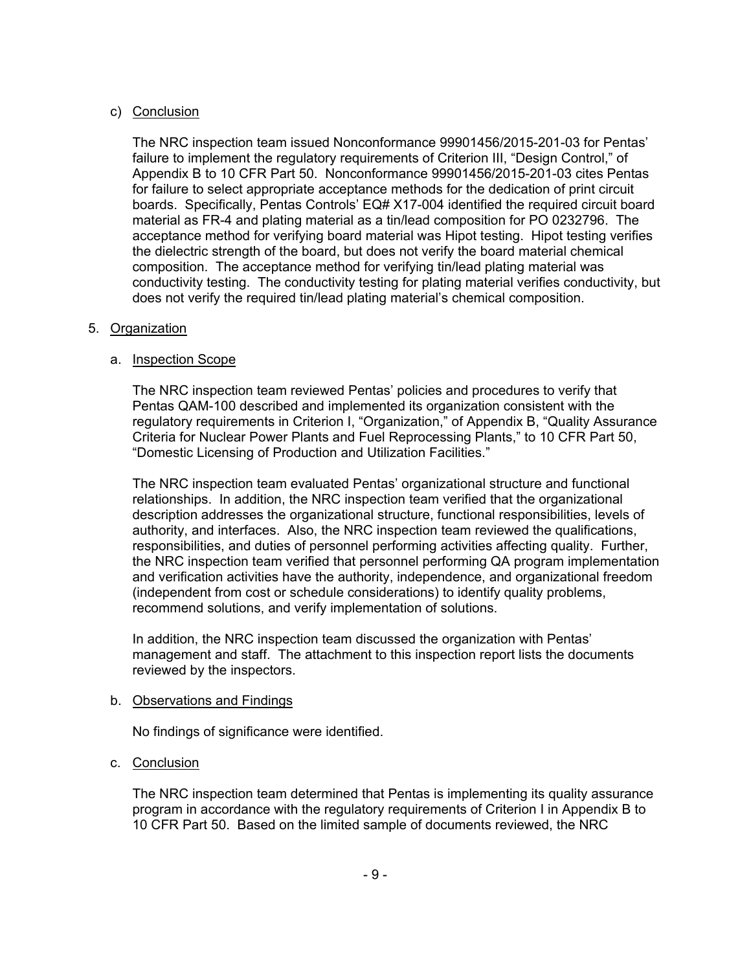### c) Conclusion

The NRC inspection team issued Nonconformance 99901456/2015-201-03 for Pentas' failure to implement the regulatory requirements of Criterion III, "Design Control," of Appendix B to 10 CFR Part 50. Nonconformance 99901456/2015-201-03 cites Pentas for failure to select appropriate acceptance methods for the dedication of print circuit boards. Specifically, Pentas Controls' EQ# X17-004 identified the required circuit board material as FR-4 and plating material as a tin/lead composition for PO 0232796. The acceptance method for verifying board material was Hipot testing. Hipot testing verifies the dielectric strength of the board, but does not verify the board material chemical composition. The acceptance method for verifying tin/lead plating material was conductivity testing. The conductivity testing for plating material verifies conductivity, but does not verify the required tin/lead plating material's chemical composition.

### 5. Organization

## a. Inspection Scope

The NRC inspection team reviewed Pentas' policies and procedures to verify that Pentas QAM-100 described and implemented its organization consistent with the regulatory requirements in Criterion I, "Organization," of Appendix B, "Quality Assurance Criteria for Nuclear Power Plants and Fuel Reprocessing Plants," to 10 CFR Part 50, "Domestic Licensing of Production and Utilization Facilities."

The NRC inspection team evaluated Pentas' organizational structure and functional relationships. In addition, the NRC inspection team verified that the organizational description addresses the organizational structure, functional responsibilities, levels of authority, and interfaces. Also, the NRC inspection team reviewed the qualifications, responsibilities, and duties of personnel performing activities affecting quality. Further, the NRC inspection team verified that personnel performing QA program implementation and verification activities have the authority, independence, and organizational freedom (independent from cost or schedule considerations) to identify quality problems, recommend solutions, and verify implementation of solutions.

In addition, the NRC inspection team discussed the organization with Pentas' management and staff. The attachment to this inspection report lists the documents reviewed by the inspectors.

### b. Observations and Findings

No findings of significance were identified.

### c. Conclusion

The NRC inspection team determined that Pentas is implementing its quality assurance program in accordance with the regulatory requirements of Criterion I in Appendix B to 10 CFR Part 50. Based on the limited sample of documents reviewed, the NRC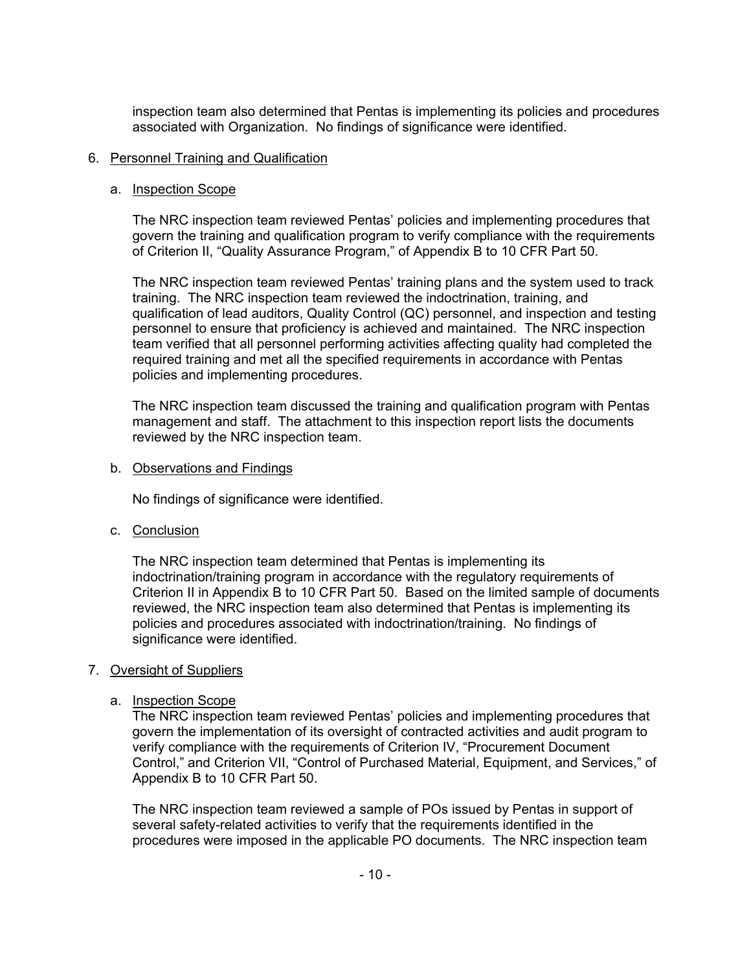inspection team also determined that Pentas is implementing its policies and procedures associated with Organization. No findings of significance were identified.

#### 6. Personnel Training and Qualification

#### a. Inspection Scope

The NRC inspection team reviewed Pentas' policies and implementing procedures that govern the training and qualification program to verify compliance with the requirements of Criterion II, "Quality Assurance Program," of Appendix B to 10 CFR Part 50.

The NRC inspection team reviewed Pentas' training plans and the system used to track training. The NRC inspection team reviewed the indoctrination, training, and qualification of lead auditors, Quality Control (QC) personnel, and inspection and testing personnel to ensure that proficiency is achieved and maintained. The NRC inspection team verified that all personnel performing activities affecting quality had completed the required training and met all the specified requirements in accordance with Pentas policies and implementing procedures.

The NRC inspection team discussed the training and qualification program with Pentas management and staff. The attachment to this inspection report lists the documents reviewed by the NRC inspection team.

#### b. Observations and Findings

No findings of significance were identified.

### c. Conclusion

The NRC inspection team determined that Pentas is implementing its indoctrination/training program in accordance with the regulatory requirements of Criterion II in Appendix B to 10 CFR Part 50. Based on the limited sample of documents reviewed, the NRC inspection team also determined that Pentas is implementing its policies and procedures associated with indoctrination/training. No findings of significance were identified.

### 7. Oversight of Suppliers

### a. Inspection Scope

The NRC inspection team reviewed Pentas' policies and implementing procedures that govern the implementation of its oversight of contracted activities and audit program to verify compliance with the requirements of Criterion IV, "Procurement Document Control," and Criterion VII, "Control of Purchased Material, Equipment, and Services," of Appendix B to 10 CFR Part 50.

The NRC inspection team reviewed a sample of POs issued by Pentas in support of several safety-related activities to verify that the requirements identified in the procedures were imposed in the applicable PO documents. The NRC inspection team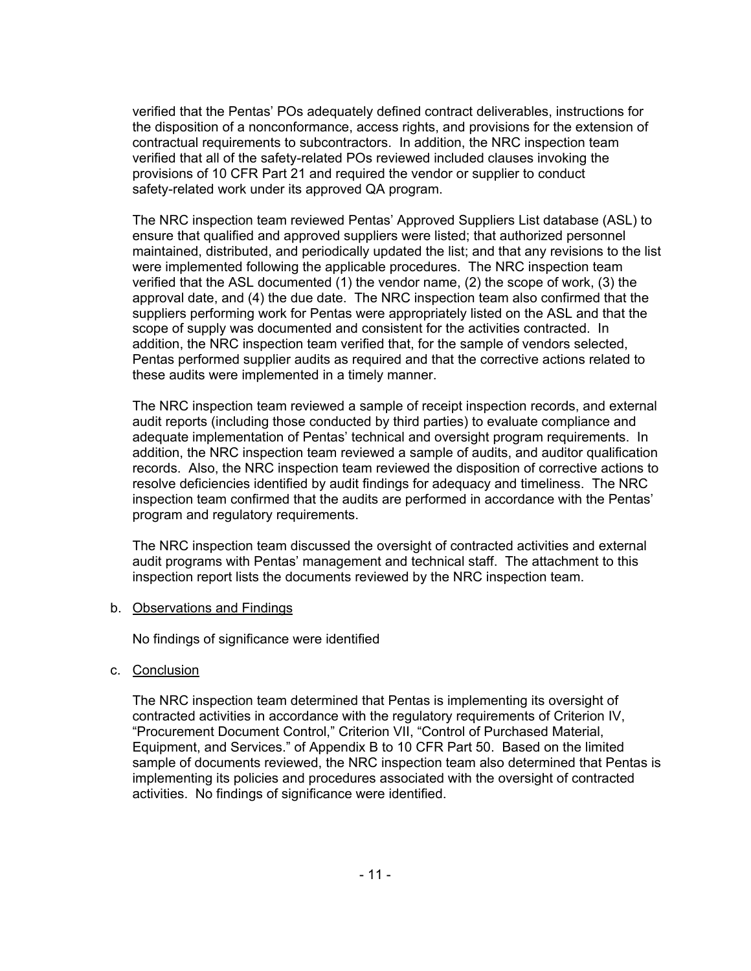verified that the Pentas' POs adequately defined contract deliverables, instructions for the disposition of a nonconformance, access rights, and provisions for the extension of contractual requirements to subcontractors. In addition, the NRC inspection team verified that all of the safety-related POs reviewed included clauses invoking the provisions of 10 CFR Part 21 and required the vendor or supplier to conduct safety-related work under its approved QA program.

The NRC inspection team reviewed Pentas' Approved Suppliers List database (ASL) to ensure that qualified and approved suppliers were listed; that authorized personnel maintained, distributed, and periodically updated the list; and that any revisions to the list were implemented following the applicable procedures. The NRC inspection team verified that the ASL documented (1) the vendor name, (2) the scope of work, (3) the approval date, and (4) the due date. The NRC inspection team also confirmed that the suppliers performing work for Pentas were appropriately listed on the ASL and that the scope of supply was documented and consistent for the activities contracted. In addition, the NRC inspection team verified that, for the sample of vendors selected, Pentas performed supplier audits as required and that the corrective actions related to these audits were implemented in a timely manner.

The NRC inspection team reviewed a sample of receipt inspection records, and external audit reports (including those conducted by third parties) to evaluate compliance and adequate implementation of Pentas' technical and oversight program requirements. In addition, the NRC inspection team reviewed a sample of audits, and auditor qualification records. Also, the NRC inspection team reviewed the disposition of corrective actions to resolve deficiencies identified by audit findings for adequacy and timeliness. The NRC inspection team confirmed that the audits are performed in accordance with the Pentas' program and regulatory requirements.

The NRC inspection team discussed the oversight of contracted activities and external audit programs with Pentas' management and technical staff. The attachment to this inspection report lists the documents reviewed by the NRC inspection team.

b. Observations and Findings

No findings of significance were identified

c. Conclusion

The NRC inspection team determined that Pentas is implementing its oversight of contracted activities in accordance with the regulatory requirements of Criterion IV, "Procurement Document Control," Criterion VII, "Control of Purchased Material, Equipment, and Services." of Appendix B to 10 CFR Part 50. Based on the limited sample of documents reviewed, the NRC inspection team also determined that Pentas is implementing its policies and procedures associated with the oversight of contracted activities. No findings of significance were identified.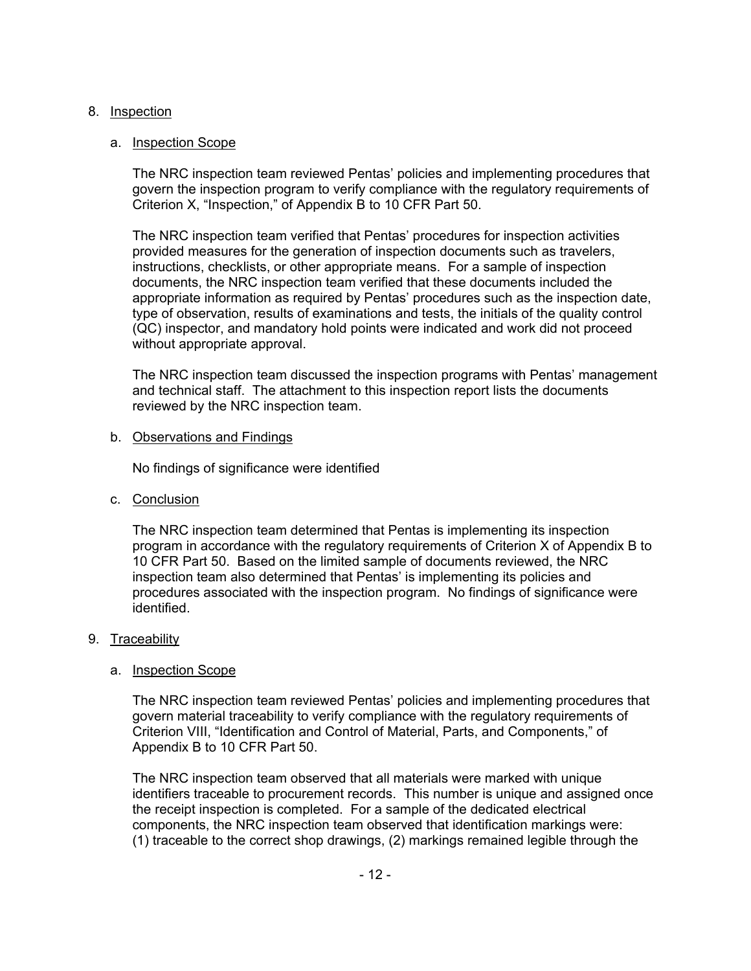### 8. Inspection

#### a. Inspection Scope

The NRC inspection team reviewed Pentas' policies and implementing procedures that govern the inspection program to verify compliance with the regulatory requirements of Criterion X, "Inspection," of Appendix B to 10 CFR Part 50.

The NRC inspection team verified that Pentas' procedures for inspection activities provided measures for the generation of inspection documents such as travelers, instructions, checklists, or other appropriate means. For a sample of inspection documents, the NRC inspection team verified that these documents included the appropriate information as required by Pentas' procedures such as the inspection date, type of observation, results of examinations and tests, the initials of the quality control (QC) inspector, and mandatory hold points were indicated and work did not proceed without appropriate approval.

The NRC inspection team discussed the inspection programs with Pentas' management and technical staff. The attachment to this inspection report lists the documents reviewed by the NRC inspection team.

#### b. Observations and Findings

No findings of significance were identified

c. Conclusion

The NRC inspection team determined that Pentas is implementing its inspection program in accordance with the regulatory requirements of Criterion X of Appendix B to 10 CFR Part 50. Based on the limited sample of documents reviewed, the NRC inspection team also determined that Pentas' is implementing its policies and procedures associated with the inspection program. No findings of significance were identified.

### 9. Traceability

#### a. Inspection Scope

The NRC inspection team reviewed Pentas' policies and implementing procedures that govern material traceability to verify compliance with the regulatory requirements of Criterion VIII, "Identification and Control of Material, Parts, and Components," of Appendix B to 10 CFR Part 50.

The NRC inspection team observed that all materials were marked with unique identifiers traceable to procurement records. This number is unique and assigned once the receipt inspection is completed. For a sample of the dedicated electrical components, the NRC inspection team observed that identification markings were: (1) traceable to the correct shop drawings, (2) markings remained legible through the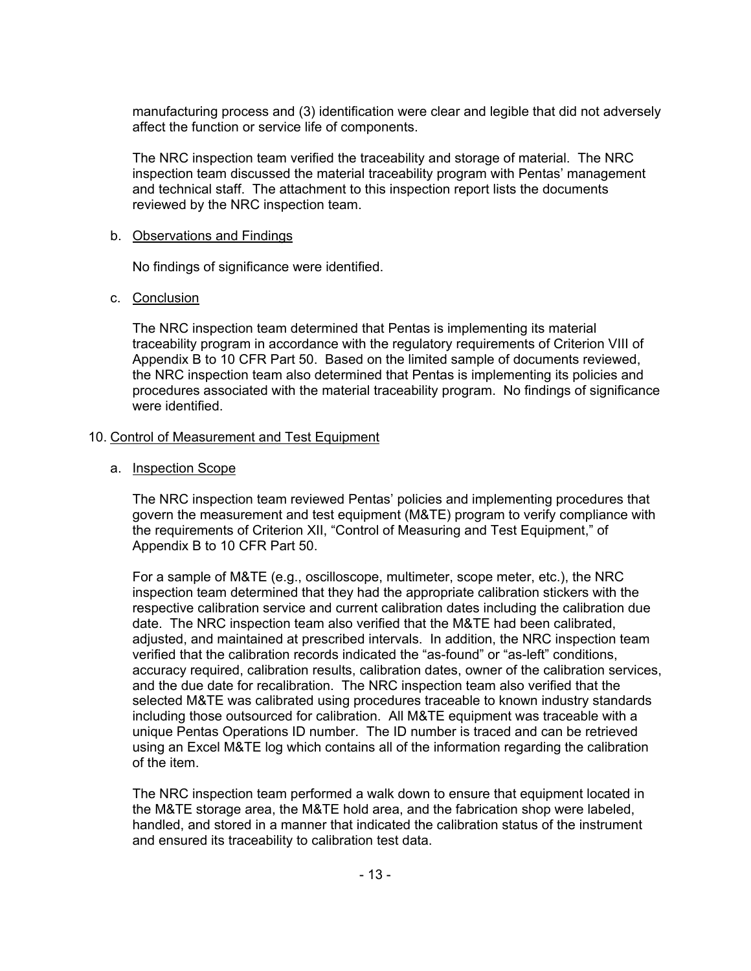manufacturing process and (3) identification were clear and legible that did not adversely affect the function or service life of components.

The NRC inspection team verified the traceability and storage of material. The NRC inspection team discussed the material traceability program with Pentas' management and technical staff. The attachment to this inspection report lists the documents reviewed by the NRC inspection team.

#### b. Observations and Findings

No findings of significance were identified.

#### c. Conclusion

The NRC inspection team determined that Pentas is implementing its material traceability program in accordance with the regulatory requirements of Criterion VIII of Appendix B to 10 CFR Part 50. Based on the limited sample of documents reviewed, the NRC inspection team also determined that Pentas is implementing its policies and procedures associated with the material traceability program. No findings of significance were identified.

#### 10. Control of Measurement and Test Equipment

#### a. Inspection Scope

The NRC inspection team reviewed Pentas' policies and implementing procedures that govern the measurement and test equipment (M&TE) program to verify compliance with the requirements of Criterion XII, "Control of Measuring and Test Equipment," of Appendix B to 10 CFR Part 50.

For a sample of M&TE (e.g., oscilloscope, multimeter, scope meter, etc.), the NRC inspection team determined that they had the appropriate calibration stickers with the respective calibration service and current calibration dates including the calibration due date. The NRC inspection team also verified that the M&TE had been calibrated, adjusted, and maintained at prescribed intervals. In addition, the NRC inspection team verified that the calibration records indicated the "as-found" or "as-left" conditions, accuracy required, calibration results, calibration dates, owner of the calibration services, and the due date for recalibration. The NRC inspection team also verified that the selected M&TE was calibrated using procedures traceable to known industry standards including those outsourced for calibration. All M&TE equipment was traceable with a unique Pentas Operations ID number. The ID number is traced and can be retrieved using an Excel M&TE log which contains all of the information regarding the calibration of the item.

The NRC inspection team performed a walk down to ensure that equipment located in the M&TE storage area, the M&TE hold area, and the fabrication shop were labeled, handled, and stored in a manner that indicated the calibration status of the instrument and ensured its traceability to calibration test data.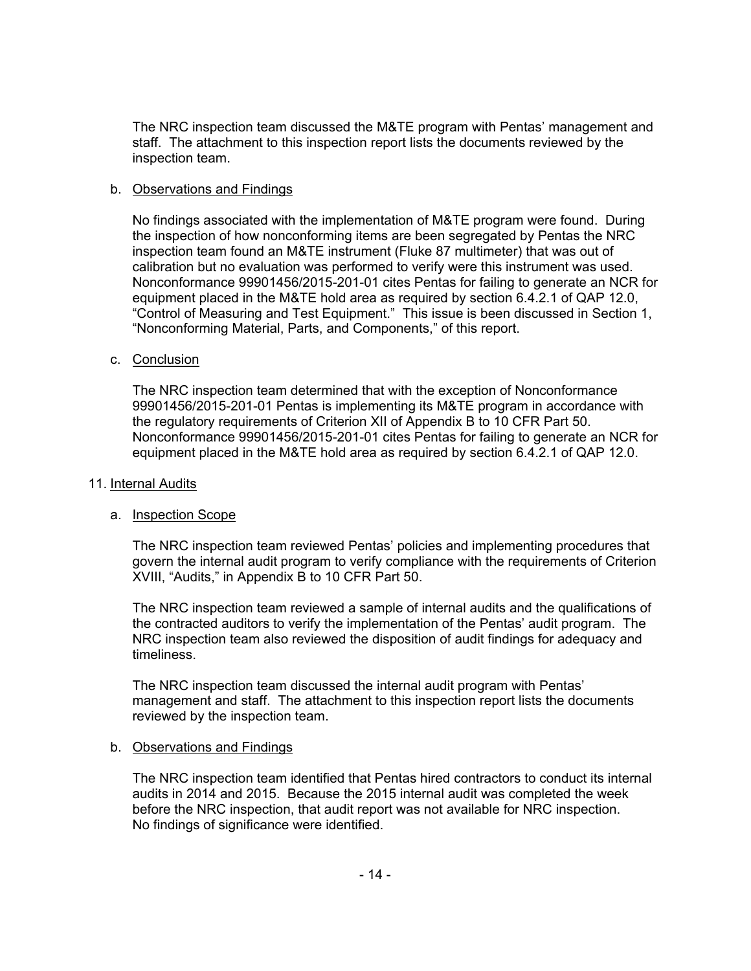The NRC inspection team discussed the M&TE program with Pentas' management and staff. The attachment to this inspection report lists the documents reviewed by the inspection team.

#### b. Observations and Findings

No findings associated with the implementation of M&TE program were found. During the inspection of how nonconforming items are been segregated by Pentas the NRC inspection team found an M&TE instrument (Fluke 87 multimeter) that was out of calibration but no evaluation was performed to verify were this instrument was used. Nonconformance 99901456/2015-201-01 cites Pentas for failing to generate an NCR for equipment placed in the M&TE hold area as required by section 6.4.2.1 of QAP 12.0, "Control of Measuring and Test Equipment." This issue is been discussed in Section 1, "Nonconforming Material, Parts, and Components," of this report.

#### c. Conclusion

The NRC inspection team determined that with the exception of Nonconformance 99901456/2015-201-01 Pentas is implementing its M&TE program in accordance with the regulatory requirements of Criterion XII of Appendix B to 10 CFR Part 50. Nonconformance 99901456/2015-201-01 cites Pentas for failing to generate an NCR for equipment placed in the M&TE hold area as required by section 6.4.2.1 of QAP 12.0.

#### 11. Internal Audits

#### a. Inspection Scope

The NRC inspection team reviewed Pentas' policies and implementing procedures that govern the internal audit program to verify compliance with the requirements of Criterion XVIII, "Audits," in Appendix B to 10 CFR Part 50.

The NRC inspection team reviewed a sample of internal audits and the qualifications of the contracted auditors to verify the implementation of the Pentas' audit program. The NRC inspection team also reviewed the disposition of audit findings for adequacy and timeliness.

The NRC inspection team discussed the internal audit program with Pentas' management and staff. The attachment to this inspection report lists the documents reviewed by the inspection team.

#### b. Observations and Findings

The NRC inspection team identified that Pentas hired contractors to conduct its internal audits in 2014 and 2015. Because the 2015 internal audit was completed the week before the NRC inspection, that audit report was not available for NRC inspection. No findings of significance were identified.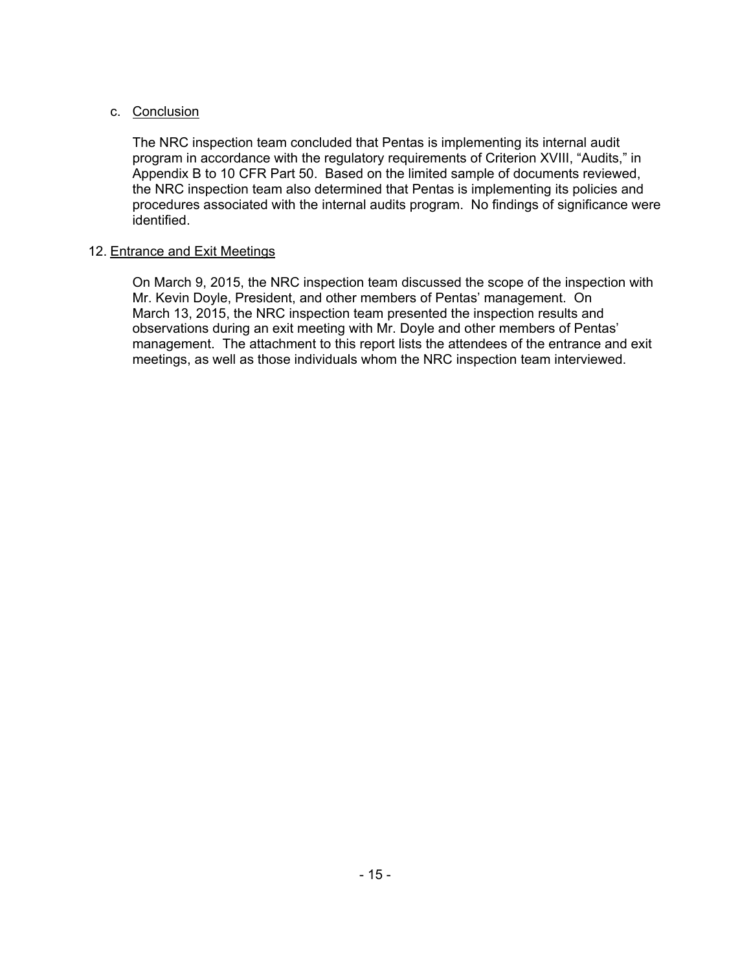### c. Conclusion

The NRC inspection team concluded that Pentas is implementing its internal audit program in accordance with the regulatory requirements of Criterion XVIII, "Audits," in Appendix B to 10 CFR Part 50. Based on the limited sample of documents reviewed, the NRC inspection team also determined that Pentas is implementing its policies and procedures associated with the internal audits program. No findings of significance were identified.

### 12. Entrance and Exit Meetings

On March 9, 2015, the NRC inspection team discussed the scope of the inspection with Mr. Kevin Doyle, President, and other members of Pentas' management. On March 13, 2015, the NRC inspection team presented the inspection results and observations during an exit meeting with Mr. Doyle and other members of Pentas' management. The attachment to this report lists the attendees of the entrance and exit meetings, as well as those individuals whom the NRC inspection team interviewed.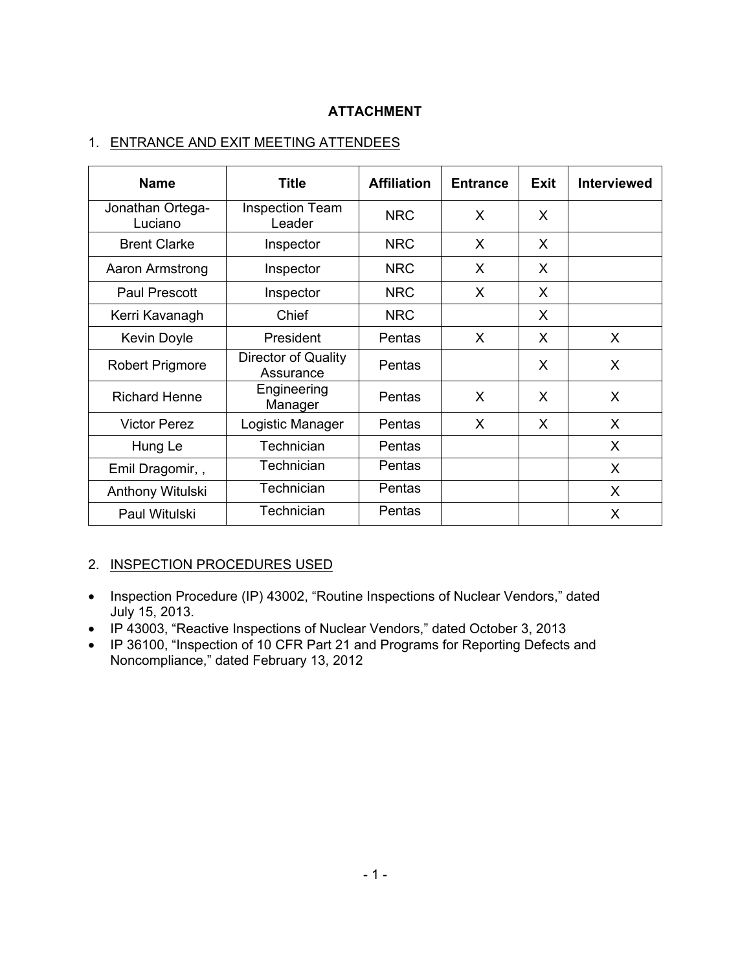## **ATTACHMENT**

## 1. ENTRANCE AND EXIT MEETING ATTENDEES

| <b>Name</b>                 | <b>Title</b>                     | <b>Affiliation</b> | <b>Entrance</b> | <b>Exit</b> | <b>Interviewed</b> |
|-----------------------------|----------------------------------|--------------------|-----------------|-------------|--------------------|
| Jonathan Ortega-<br>Luciano | <b>Inspection Team</b><br>Leader | <b>NRC</b>         | X               | X           |                    |
| <b>Brent Clarke</b>         | Inspector                        | <b>NRC</b>         | X               | X           |                    |
| Aaron Armstrong             | Inspector                        | <b>NRC</b>         | X               | X           |                    |
| <b>Paul Prescott</b>        | Inspector                        | <b>NRC</b>         | X               | X           |                    |
| Kerri Kavanagh              | Chief                            | <b>NRC</b>         |                 | X           |                    |
| Kevin Doyle                 | President                        | Pentas             | X               | X           | X                  |
| <b>Robert Prigmore</b>      | Director of Quality<br>Assurance | Pentas             |                 | X           | X                  |
| <b>Richard Henne</b>        | Engineering<br>Manager           | Pentas             | X               | X           | X                  |
| <b>Victor Perez</b>         | Logistic Manager                 | Pentas             | X               | X           | X                  |
| Hung Le                     | Technician                       | Pentas             |                 |             | X                  |
| Emil Dragomir,,             | Technician                       | Pentas             |                 |             | X                  |
| Anthony Witulski            | Technician                       | Pentas             |                 |             | X                  |
| Paul Witulski               | Technician                       | Pentas             |                 |             | X                  |

### 2. INSPECTION PROCEDURES USED

- Inspection Procedure (IP) 43002, "Routine Inspections of Nuclear Vendors," dated July 15, 2013.
- IP 43003, "Reactive Inspections of Nuclear Vendors," dated October 3, 2013
- IP 36100, "Inspection of 10 CFR Part 21 and Programs for Reporting Defects and Noncompliance," dated February 13, 2012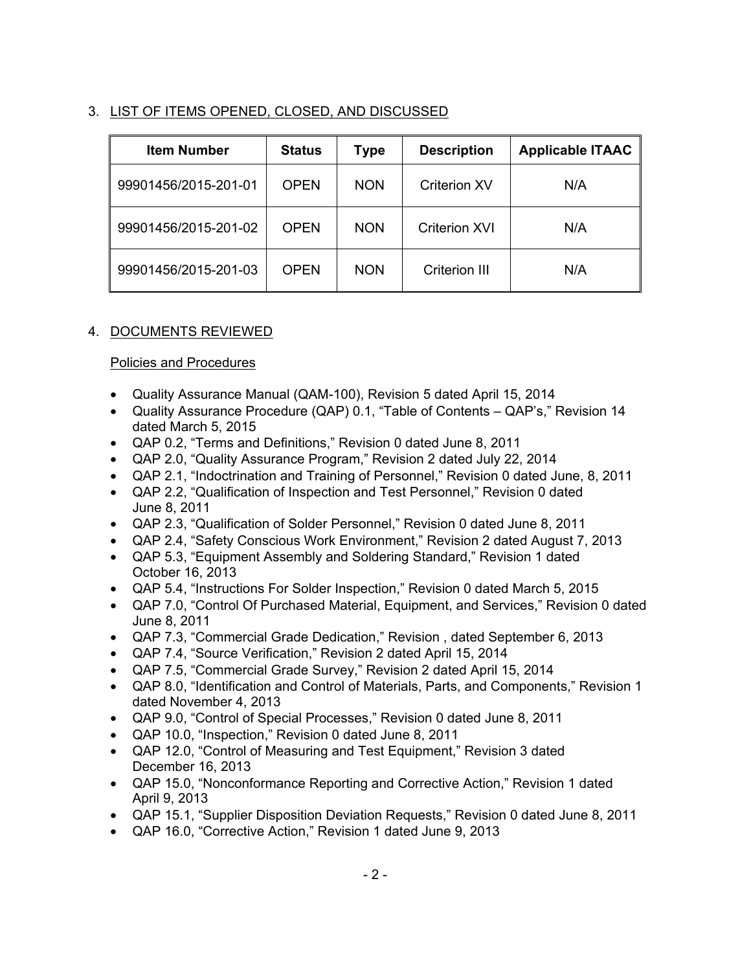# 3. LIST OF ITEMS OPENED, CLOSED, AND DISCUSSED

| <b>Item Number</b>   | <b>Status</b> | <b>Type</b> | <b>Description</b>   | <b>Applicable ITAAC</b> |
|----------------------|---------------|-------------|----------------------|-------------------------|
| 99901456/2015-201-01 | <b>OPEN</b>   | <b>NON</b>  | <b>Criterion XV</b>  | N/A                     |
| 99901456/2015-201-02 | <b>OPEN</b>   | <b>NON</b>  | <b>Criterion XVI</b> | N/A                     |
| 99901456/2015-201-03 | <b>OPEN</b>   | <b>NON</b>  | <b>Criterion III</b> | N/A                     |

# 4. DOCUMENTS REVIEWED

## Policies and Procedures

- Quality Assurance Manual (QAM-100), Revision 5 dated April 15, 2014
- Quality Assurance Procedure (QAP) 0.1, "Table of Contents QAP's," Revision 14 dated March 5, 2015
- QAP 0.2, "Terms and Definitions," Revision 0 dated June 8, 2011
- QAP 2.0, "Quality Assurance Program," Revision 2 dated July 22, 2014
- QAP 2.1, "Indoctrination and Training of Personnel," Revision 0 dated June, 8, 2011
- QAP 2.2, "Qualification of Inspection and Test Personnel," Revision 0 dated June 8, 2011
- QAP 2.3, "Qualification of Solder Personnel," Revision 0 dated June 8, 2011
- QAP 2.4, "Safety Conscious Work Environment," Revision 2 dated August 7, 2013
- QAP 5.3, "Equipment Assembly and Soldering Standard," Revision 1 dated October 16, 2013
- QAP 5.4, "Instructions For Solder Inspection," Revision 0 dated March 5, 2015
- QAP 7.0, "Control Of Purchased Material, Equipment, and Services," Revision 0 dated June 8, 2011
- QAP 7.3, "Commercial Grade Dedication," Revision , dated September 6, 2013
- QAP 7.4, "Source Verification," Revision 2 dated April 15, 2014
- QAP 7.5, "Commercial Grade Survey," Revision 2 dated April 15, 2014
- QAP 8.0, "Identification and Control of Materials, Parts, and Components," Revision 1 dated November 4, 2013
- QAP 9.0, "Control of Special Processes," Revision 0 dated June 8, 2011
- QAP 10.0, "Inspection," Revision 0 dated June 8, 2011
- QAP 12.0, "Control of Measuring and Test Equipment," Revision 3 dated December 16, 2013
- QAP 15.0, "Nonconformance Reporting and Corrective Action," Revision 1 dated April 9, 2013
- QAP 15.1, "Supplier Disposition Deviation Requests," Revision 0 dated June 8, 2011
- QAP 16.0, "Corrective Action," Revision 1 dated June 9, 2013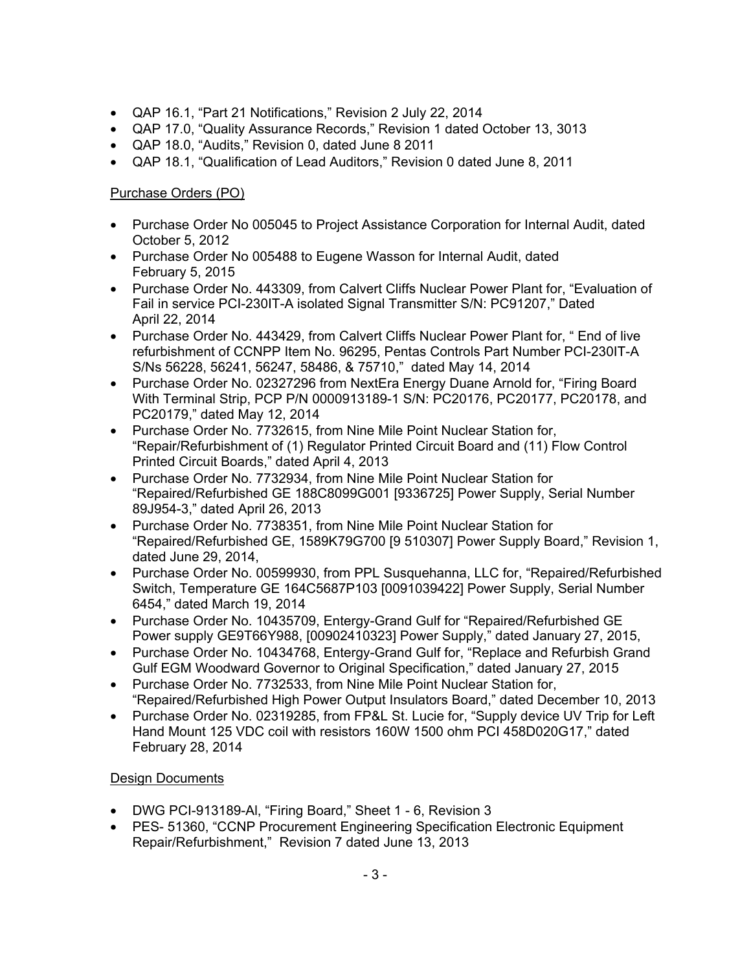- QAP 16.1, "Part 21 Notifications," Revision 2 July 22, 2014
- QAP 17.0, "Quality Assurance Records," Revision 1 dated October 13, 3013
- QAP 18.0, "Audits," Revision 0, dated June 8 2011
- QAP 18.1, "Qualification of Lead Auditors," Revision 0 dated June 8, 2011

# Purchase Orders (PO)

- Purchase Order No 005045 to Project Assistance Corporation for Internal Audit, dated October 5, 2012
- Purchase Order No 005488 to Eugene Wasson for Internal Audit, dated February 5, 2015
- Purchase Order No. 443309, from Calvert Cliffs Nuclear Power Plant for, "Evaluation of Fail in service PCI-230IT-A isolated Signal Transmitter S/N: PC91207," Dated April 22, 2014
- Purchase Order No. 443429, from Calvert Cliffs Nuclear Power Plant for, " End of live refurbishment of CCNPP Item No. 96295, Pentas Controls Part Number PCI-230IT-A S/Ns 56228, 56241, 56247, 58486, & 75710," dated May 14, 2014
- Purchase Order No. 02327296 from NextEra Energy Duane Arnold for, "Firing Board With Terminal Strip, PCP P/N 0000913189-1 S/N: PC20176, PC20177, PC20178, and PC20179," dated May 12, 2014
- Purchase Order No. 7732615, from Nine Mile Point Nuclear Station for, "Repair/Refurbishment of (1) Regulator Printed Circuit Board and (11) Flow Control Printed Circuit Boards," dated April 4, 2013
- Purchase Order No. 7732934, from Nine Mile Point Nuclear Station for "Repaired/Refurbished GE 188C8099G001 [9336725] Power Supply, Serial Number 89J954-3," dated April 26, 2013
- Purchase Order No. 7738351, from Nine Mile Point Nuclear Station for "Repaired/Refurbished GE, 1589K79G700 [9 510307] Power Supply Board," Revision 1, dated June 29, 2014,
- Purchase Order No. 00599930, from PPL Susquehanna, LLC for, "Repaired/Refurbished Switch, Temperature GE 164C5687P103 [0091039422] Power Supply, Serial Number 6454," dated March 19, 2014
- Purchase Order No. 10435709, Entergy-Grand Gulf for "Repaired/Refurbished GE Power supply GE9T66Y988, [00902410323] Power Supply," dated January 27, 2015,
- Purchase Order No. 10434768, Entergy-Grand Gulf for, "Replace and Refurbish Grand Gulf EGM Woodward Governor to Original Specification," dated January 27, 2015
- Purchase Order No. 7732533, from Nine Mile Point Nuclear Station for, "Repaired/Refurbished High Power Output Insulators Board," dated December 10, 2013
- Purchase Order No. 02319285, from FP&L St. Lucie for, "Supply device UV Trip for Left Hand Mount 125 VDC coil with resistors 160W 1500 ohm PCI 458D020G17," dated February 28, 2014

## Design Documents

- DWG PCI-913189-Al, "Firing Board," Sheet 1 6, Revision 3
- PES- 51360, "CCNP Procurement Engineering Specification Electronic Equipment Repair/Refurbishment," Revision 7 dated June 13, 2013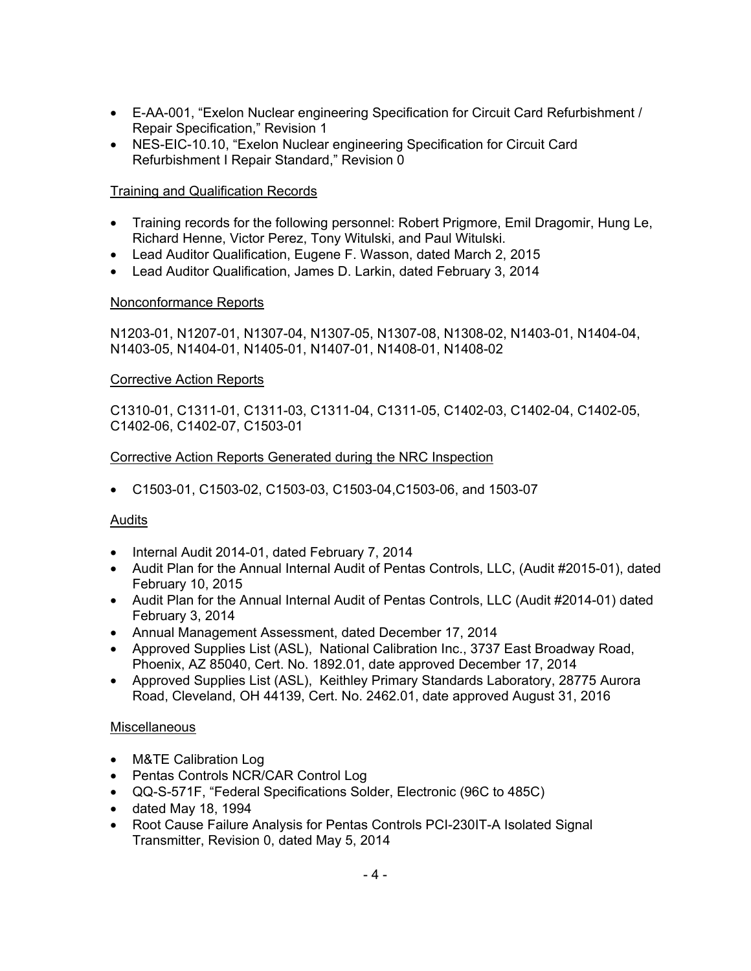- E-AA-001, "Exelon Nuclear engineering Specification for Circuit Card Refurbishment / Repair Specification," Revision 1
- NES-EIC-10.10, "Exelon Nuclear engineering Specification for Circuit Card Refurbishment I Repair Standard," Revision 0

## Training and Qualification Records

- Training records for the following personnel: Robert Prigmore, Emil Dragomir, Hung Le, Richard Henne, Victor Perez, Tony Witulski, and Paul Witulski.
- Lead Auditor Qualification, Eugene F. Wasson, dated March 2, 2015
- Lead Auditor Qualification, James D. Larkin, dated February 3, 2014

## Nonconformance Reports

N1203-01, N1207-01, N1307-04, N1307-05, N1307-08, N1308-02, N1403-01, N1404-04, N1403-05, N1404-01, N1405-01, N1407-01, N1408-01, N1408-02

### Corrective Action Reports

C1310-01, C1311-01, C1311-03, C1311-04, C1311-05, C1402-03, C1402-04, C1402-05, C1402-06, C1402-07, C1503-01

### Corrective Action Reports Generated during the NRC Inspection

• C1503-01, C1503-02, C1503-03, C1503-04,C1503-06, and 1503-07

## Audits

- Internal Audit 2014-01, dated February 7, 2014
- Audit Plan for the Annual Internal Audit of Pentas Controls, LLC, (Audit #2015-01), dated February 10, 2015
- Audit Plan for the Annual Internal Audit of Pentas Controls, LLC (Audit #2014-01) dated February 3, 2014
- Annual Management Assessment, dated December 17, 2014
- Approved Supplies List (ASL), National Calibration Inc., 3737 East Broadway Road, Phoenix, AZ 85040, Cert. No. 1892.01, date approved December 17, 2014
- Approved Supplies List (ASL), Keithley Primary Standards Laboratory, 28775 Aurora Road, Cleveland, OH 44139, Cert. No. 2462.01, date approved August 31, 2016

### Miscellaneous

- M&TE Calibration Log
- Pentas Controls NCR/CAR Control Log
- QQ-S-571F, "Federal Specifications Solder, Electronic (96C to 485C)
- dated May 18, 1994
- Root Cause Failure Analysis for Pentas Controls PCI-230IT-A Isolated Signal Transmitter, Revision 0, dated May 5, 2014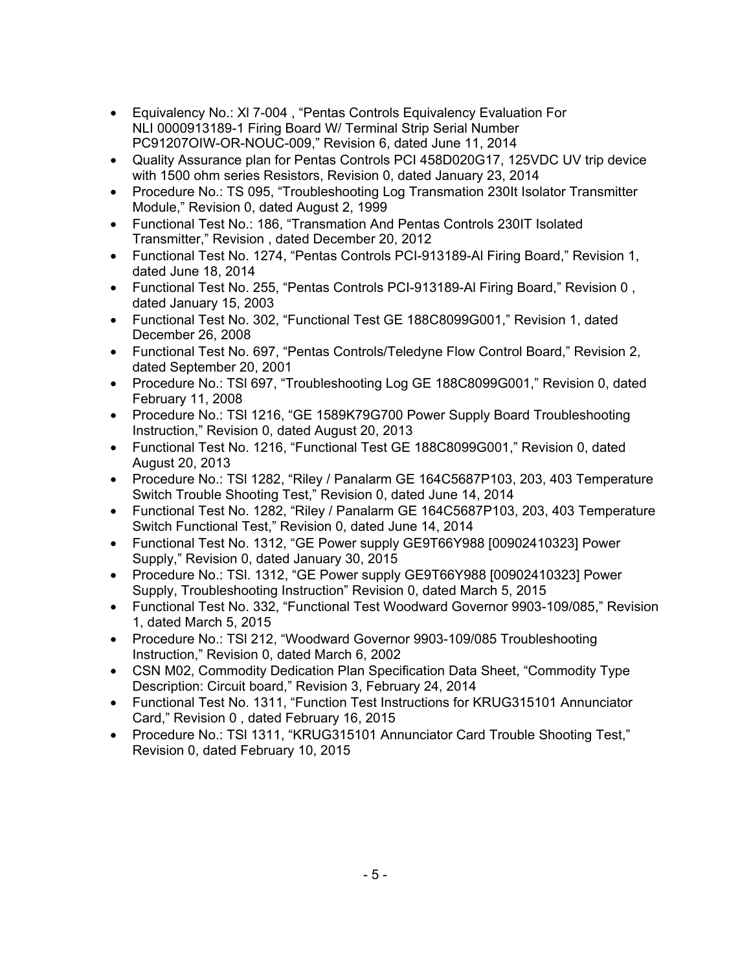- Equivalency No.: Xl 7-004 , "Pentas Controls Equivalency Evaluation For NLI 0000913189-1 Firing Board W/ Terminal Strip Serial Number PC91207OIW-OR-NOUC-009," Revision 6, dated June 11, 2014
- Quality Assurance plan for Pentas Controls PCI 458D020G17, 125VDC UV trip device with 1500 ohm series Resistors, Revision 0, dated January 23, 2014
- Procedure No.: TS 095, "Troubleshooting Log Transmation 230It Isolator Transmitter Module," Revision 0, dated August 2, 1999
- Functional Test No.: 186, "Transmation And Pentas Controls 230IT Isolated Transmitter," Revision , dated December 20, 2012
- Functional Test No. 1274, "Pentas Controls PCI-913189-Al Firing Board," Revision 1, dated June 18, 2014
- Functional Test No. 255, "Pentas Controls PCI-913189-Al Firing Board," Revision 0 , dated January 15, 2003
- Functional Test No. 302, "Functional Test GE 188C8099G001," Revision 1, dated December 26, 2008
- Functional Test No. 697, "Pentas Controls/Teledyne Flow Control Board," Revision 2, dated September 20, 2001
- Procedure No.: TSl 697, "Troubleshooting Log GE 188C8099G001," Revision 0, dated February 11, 2008
- Procedure No.: TSl 1216, "GE 1589K79G700 Power Supply Board Troubleshooting Instruction," Revision 0, dated August 20, 2013
- Functional Test No. 1216, "Functional Test GE 188C8099G001," Revision 0, dated August 20, 2013
- Procedure No.: TSl 1282, "Riley / Panalarm GE 164C5687P103, 203, 403 Temperature Switch Trouble Shooting Test," Revision 0, dated June 14, 2014
- Functional Test No. 1282, "Riley / Panalarm GE 164C5687P103, 203, 403 Temperature Switch Functional Test," Revision 0, dated June 14, 2014
- Functional Test No. 1312, "GE Power supply GE9T66Y988 [00902410323] Power Supply," Revision 0, dated January 30, 2015
- Procedure No.: TSl. 1312, "GE Power supply GE9T66Y988 [00902410323] Power Supply, Troubleshooting Instruction" Revision 0, dated March 5, 2015
- Functional Test No. 332, "Functional Test Woodward Governor 9903-109/085," Revision 1, dated March 5, 2015
- Procedure No.: TSl 212, "Woodward Governor 9903-109/085 Troubleshooting Instruction," Revision 0, dated March 6, 2002
- CSN M02, Commodity Dedication Plan Specification Data Sheet, "Commodity Type Description: Circuit board," Revision 3, February 24, 2014
- Functional Test No. 1311, "Function Test Instructions for KRUG315101 Annunciator Card," Revision 0 , dated February 16, 2015
- Procedure No.: TSl 1311, "KRUG315101 Annunciator Card Trouble Shooting Test," Revision 0, dated February 10, 2015